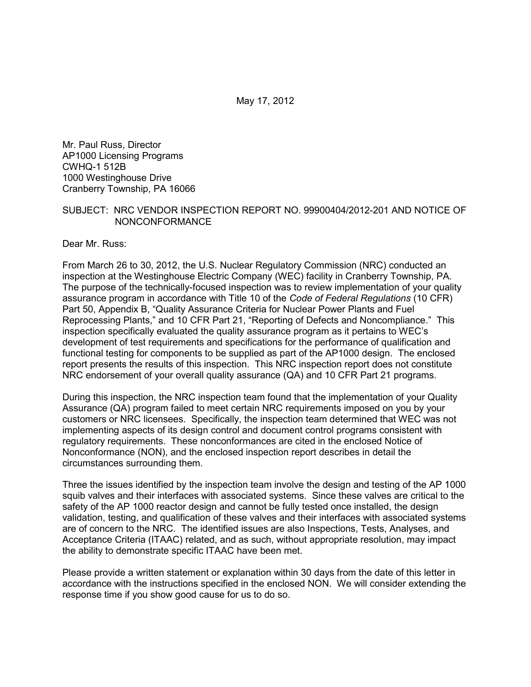May 17, 2012

Mr. Paul Russ, Director AP1000 Licensing Programs CWHQ-1 512B 1000 Westinghouse Drive Cranberry Township, PA 16066

#### SUBJECT: NRC VENDOR INSPECTION REPORT NO. 99900404/2012-201 AND NOTICE OF NONCONFORMANCE

Dear Mr. Russ:

From March 26 to 30, 2012, the U.S. Nuclear Regulatory Commission (NRC) conducted an inspection at the Westinghouse Electric Company (WEC) facility in Cranberry Township, PA. The purpose of the technically-focused inspection was to review implementation of your quality assurance program in accordance with Title 10 of the *Code of Federal Regulations* (10 CFR) Part 50, Appendix B, "Quality Assurance Criteria for Nuclear Power Plants and Fuel Reprocessing Plants," and 10 CFR Part 21, "Reporting of Defects and Noncompliance." This inspection specifically evaluated the quality assurance program as it pertains to WEC's development of test requirements and specifications for the performance of qualification and functional testing for components to be supplied as part of the AP1000 design. The enclosed report presents the results of this inspection. This NRC inspection report does not constitute NRC endorsement of your overall quality assurance (QA) and 10 CFR Part 21 programs.

During this inspection, the NRC inspection team found that the implementation of your Quality Assurance (QA) program failed to meet certain NRC requirements imposed on you by your customers or NRC licensees. Specifically, the inspection team determined that WEC was not implementing aspects of its design control and document control programs consistent with regulatory requirements. These nonconformances are cited in the enclosed Notice of Nonconformance (NON), and the enclosed inspection report describes in detail the circumstances surrounding them.

Three the issues identified by the inspection team involve the design and testing of the AP 1000 squib valves and their interfaces with associated systems. Since these valves are critical to the safety of the AP 1000 reactor design and cannot be fully tested once installed, the design validation, testing, and qualification of these valves and their interfaces with associated systems are of concern to the NRC. The identified issues are also Inspections, Tests, Analyses, and Acceptance Criteria (ITAAC) related, and as such, without appropriate resolution, may impact the ability to demonstrate specific ITAAC have been met.

Please provide a written statement or explanation within 30 days from the date of this letter in accordance with the instructions specified in the enclosed NON. We will consider extending the response time if you show good cause for us to do so.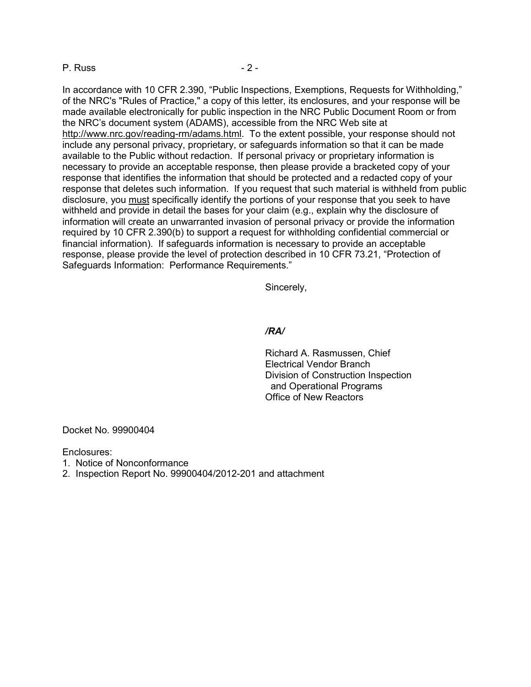#### P. Russ - 2 -

In accordance with 10 CFR 2.390, "Public Inspections, Exemptions, Requests for Withholding," of the NRC's "Rules of Practice," a copy of this letter, its enclosures, and your response will be made available electronically for public inspection in the NRC Public Document Room or from the NRC's document system (ADAMS), accessible from the NRC Web site at http://www.nrc.gov/reading-rm/adams.html. To the extent possible, your response should not include any personal privacy, proprietary, or safeguards information so that it can be made available to the Public without redaction. If personal privacy or proprietary information is necessary to provide an acceptable response, then please provide a bracketed copy of your response that identifies the information that should be protected and a redacted copy of your response that deletes such information. If you request that such material is withheld from public disclosure, you must specifically identify the portions of your response that you seek to have withheld and provide in detail the bases for your claim (e.g., explain why the disclosure of information will create an unwarranted invasion of personal privacy or provide the information required by 10 CFR 2.390(b) to support a request for withholding confidential commercial or financial information). If safeguards information is necessary to provide an acceptable response, please provide the level of protection described in 10 CFR 73.21, "Protection of Safeguards Information: Performance Requirements."

Sincerely,

#### */RA/*

Richard A. Rasmussen, Chief Electrical Vendor Branch Division of Construction Inspection and Operational Programs Office of New Reactors

Docket No. 99900404

Enclosures:

1. Notice of Nonconformance

2. Inspection Report No. 99900404/2012-201 and attachment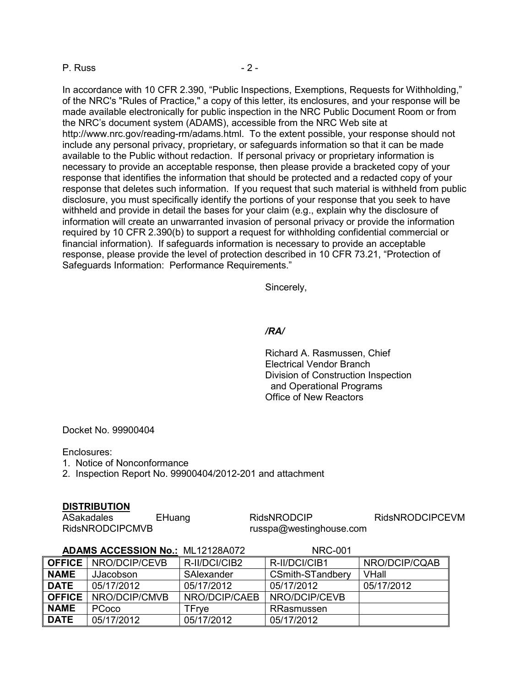#### P. Russ - 2 -

In accordance with 10 CFR 2.390, "Public Inspections, Exemptions, Requests for Withholding," of the NRC's "Rules of Practice," a copy of this letter, its enclosures, and your response will be made available electronically for public inspection in the NRC Public Document Room or from the NRC's document system (ADAMS), accessible from the NRC Web site at http://www.nrc.gov/reading-rm/adams.html. To the extent possible, your response should not include any personal privacy, proprietary, or safeguards information so that it can be made available to the Public without redaction. If personal privacy or proprietary information is necessary to provide an acceptable response, then please provide a bracketed copy of your response that identifies the information that should be protected and a redacted copy of your response that deletes such information. If you request that such material is withheld from public disclosure, you must specifically identify the portions of your response that you seek to have withheld and provide in detail the bases for your claim (e.g., explain why the disclosure of information will create an unwarranted invasion of personal privacy or provide the information required by 10 CFR 2.390(b) to support a request for withholding confidential commercial or financial information). If safeguards information is necessary to provide an acceptable response, please provide the level of protection described in 10 CFR 73.21, "Protection of Safeguards Information: Performance Requirements."

Sincerely,

#### */RA/*

Richard A. Rasmussen, Chief Electrical Vendor Branch Division of Construction Inspection and Operational Programs Office of New Reactors

Docket No. 99900404

Enclosures:

1. Notice of Nonconformance

2. Inspection Report No. 99900404/2012-201 and attachment

#### **DISTRIBUTION**

ASakadales EHuang RidsNRODCIP RidsNRODCIPCEVM RidsNRODCIPCMVB russpa@westinghouse.com

|               | <b>ADAMS ACCESSION No.: ML12128A072</b> |               | <b>NRC-001</b>          |               |
|---------------|-----------------------------------------|---------------|-------------------------|---------------|
|               | <b>OFFICE</b> NRO/DCIP/CEVB             | R-II/DCI/CIB2 | R-II/DCI/CIB1           | NRO/DCIP/CQAB |
| <b>NAME</b>   | <b>JJacobson</b>                        | SAlexander    | <b>CSmith-STandbery</b> | <b>VHall</b>  |
| <b>DATE</b>   | 05/17/2012                              | 05/17/2012    | 05/17/2012              | 05/17/2012    |
| <b>OFFICE</b> | NRO/DCIP/CMVB                           | NRO/DCIP/CAEB | NRO/DCIP/CEVB           |               |
| <b>NAME</b>   | <b>PCoco</b>                            | TFrve         | RRasmussen              |               |
| <b>DATE</b>   | 05/17/2012                              | 05/17/2012    | 05/17/2012              |               |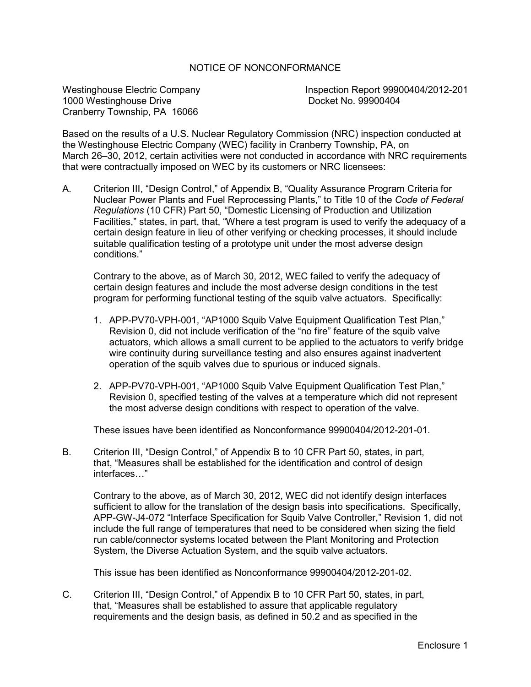## NOTICE OF NONCONFORMANCE

1000 Westinghouse Drive Cranberry Township, PA 16066

Westinghouse Electric Company<br>
1000 Westinghouse Drive<br>
1000 Westinghouse Drive<br>
1000 Westinghouse Drive

Based on the results of a U.S. Nuclear Regulatory Commission (NRC) inspection conducted at the Westinghouse Electric Company (WEC) facility in Cranberry Township, PA, on March 26–30, 2012, certain activities were not conducted in accordance with NRC requirements that were contractually imposed on WEC by its customers or NRC licensees:

A. Criterion III, "Design Control," of Appendix B, "Quality Assurance Program Criteria for Nuclear Power Plants and Fuel Reprocessing Plants," to Title 10 of the *Code of Federal Regulations* (10 CFR) Part 50, "Domestic Licensing of Production and Utilization Facilities," states, in part, that, "Where a test program is used to verify the adequacy of a certain design feature in lieu of other verifying or checking processes, it should include suitable qualification testing of a prototype unit under the most adverse design conditions."

Contrary to the above, as of March 30, 2012, WEC failed to verify the adequacy of certain design features and include the most adverse design conditions in the test program for performing functional testing of the squib valve actuators. Specifically:

- 1. APP-PV70-VPH-001, "AP1000 Squib Valve Equipment Qualification Test Plan," Revision 0, did not include verification of the "no fire" feature of the squib valve actuators, which allows a small current to be applied to the actuators to verify bridge wire continuity during surveillance testing and also ensures against inadvertent operation of the squib valves due to spurious or induced signals.
- 2. APP-PV70-VPH-001, "AP1000 Squib Valve Equipment Qualification Test Plan," Revision 0, specified testing of the valves at a temperature which did not represent the most adverse design conditions with respect to operation of the valve.

These issues have been identified as Nonconformance 99900404/2012-201-01.

B. Criterion III, "Design Control," of Appendix B to 10 CFR Part 50, states, in part, that, "Measures shall be established for the identification and control of design interfaces…"

Contrary to the above, as of March 30, 2012, WEC did not identify design interfaces sufficient to allow for the translation of the design basis into specifications. Specifically, APP-GW-J4-072 "Interface Specification for Squib Valve Controller," Revision 1, did not include the full range of temperatures that need to be considered when sizing the field run cable/connector systems located between the Plant Monitoring and Protection System, the Diverse Actuation System, and the squib valve actuators.

This issue has been identified as Nonconformance 99900404/2012-201-02.

C. Criterion III, "Design Control," of Appendix B to 10 CFR Part 50, states, in part, that, "Measures shall be established to assure that applicable regulatory requirements and the design basis, as defined in 50.2 and as specified in the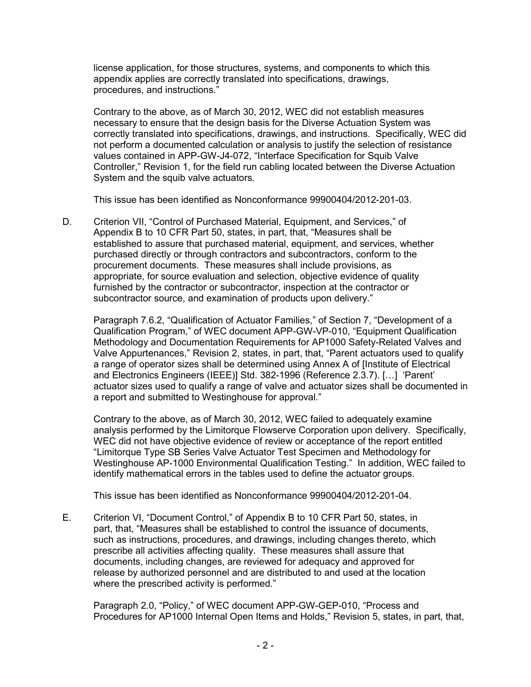license application, for those structures, systems, and components to which this appendix applies are correctly translated into specifications, drawings, procedures, and instructions."

Contrary to the above, as of March 30, 2012, WEC did not establish measures necessary to ensure that the design basis for the Diverse Actuation System was correctly translated into specifications, drawings, and instructions. Specifically, WEC did not perform a documented calculation or analysis to justify the selection of resistance values contained in APP-GW-J4-072, "Interface Specification for Squib Valve Controller," Revision 1, for the field run cabling located between the Diverse Actuation System and the squib valve actuators.

This issue has been identified as Nonconformance 99900404/2012-201-03.

D. Criterion VII, "Control of Purchased Material, Equipment, and Services," of Appendix B to 10 CFR Part 50, states, in part, that, "Measures shall be established to assure that purchased material, equipment, and services, whether purchased directly or through contractors and subcontractors, conform to the procurement documents. These measures shall include provisions, as appropriate, for source evaluation and selection, objective evidence of quality furnished by the contractor or subcontractor, inspection at the contractor or subcontractor source, and examination of products upon delivery."

Paragraph 7.6.2, "Qualification of Actuator Families," of Section 7, "Development of a Qualification Program," of WEC document APP-GW-VP-010, "Equipment Qualification Methodology and Documentation Requirements for AP1000 Safety-Related Valves and Valve Appurtenances," Revision 2, states, in part, that, "Parent actuators used to qualify a range of operator sizes shall be determined using Annex A of [Institute of Electrical and Electronics Engineers (IEEE)] Std. 382-1996 (Reference 2.3.7). […] 'Parent' actuator sizes used to qualify a range of valve and actuator sizes shall be documented in a report and submitted to Westinghouse for approval."

Contrary to the above, as of March 30, 2012, WEC failed to adequately examine analysis performed by the Limitorque Flowserve Corporation upon delivery. Specifically, WEC did not have objective evidence of review or acceptance of the report entitled "Limitorque Type SB Series Valve Actuator Test Specimen and Methodology for Westinghouse AP-1000 Environmental Qualification Testing." In addition, WEC failed to identify mathematical errors in the tables used to define the actuator groups.

This issue has been identified as Nonconformance 99900404/2012-201-04.

E. Criterion VI, "Document Control," of Appendix B to 10 CFR Part 50, states, in part, that, "Measures shall be established to control the issuance of documents, such as instructions, procedures, and drawings, including changes thereto, which prescribe all activities affecting quality. These measures shall assure that documents, including changes, are reviewed for adequacy and approved for release by authorized personnel and are distributed to and used at the location where the prescribed activity is performed."

Paragraph 2.0, "Policy," of WEC document APP-GW-GEP-010, "Process and Procedures for AP1000 Internal Open Items and Holds," Revision 5, states, in part, that,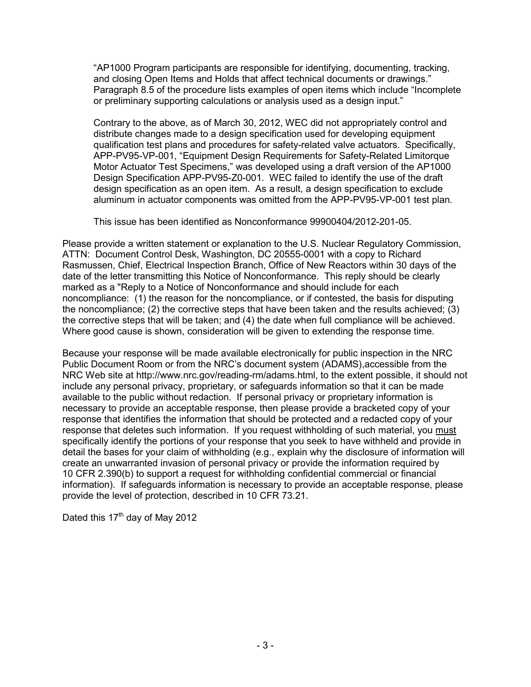"AP1000 Program participants are responsible for identifying, documenting, tracking, and closing Open Items and Holds that affect technical documents or drawings." Paragraph 8.5 of the procedure lists examples of open items which include "Incomplete or preliminary supporting calculations or analysis used as a design input."

Contrary to the above, as of March 30, 2012, WEC did not appropriately control and distribute changes made to a design specification used for developing equipment qualification test plans and procedures for safety-related valve actuators. Specifically, APP-PV95-VP-001, "Equipment Design Requirements for Safety-Related Limitorque Motor Actuator Test Specimens," was developed using a draft version of the AP1000 Design Specification APP-PV95-Z0-001. WEC failed to identify the use of the draft design specification as an open item. As a result, a design specification to exclude aluminum in actuator components was omitted from the APP-PV95-VP-001 test plan.

This issue has been identified as Nonconformance 99900404/2012-201-05.

Please provide a written statement or explanation to the U.S. Nuclear Regulatory Commission, ATTN: Document Control Desk, Washington, DC 20555-0001 with a copy to Richard Rasmussen, Chief, Electrical Inspection Branch, Office of New Reactors within 30 days of the date of the letter transmitting this Notice of Nonconformance. This reply should be clearly marked as a "Reply to a Notice of Nonconformance and should include for each noncompliance: (1) the reason for the noncompliance, or if contested, the basis for disputing the noncompliance; (2) the corrective steps that have been taken and the results achieved; (3) the corrective steps that will be taken; and (4) the date when full compliance will be achieved. Where good cause is shown, consideration will be given to extending the response time.

Because your response will be made available electronically for public inspection in the NRC Public Document Room or from the NRC's document system (ADAMS),accessible from the NRC Web site at http://www.nrc.gov/reading-rm/adams.html, to the extent possible, it should not include any personal privacy, proprietary, or safeguards information so that it can be made available to the public without redaction. If personal privacy or proprietary information is necessary to provide an acceptable response, then please provide a bracketed copy of your response that identifies the information that should be protected and a redacted copy of your response that deletes such information. If you request withholding of such material, you must specifically identify the portions of your response that you seek to have withheld and provide in detail the bases for your claim of withholding (e.g., explain why the disclosure of information will create an unwarranted invasion of personal privacy or provide the information required by 10 CFR 2.390(b) to support a request for withholding confidential commercial or financial information). If safeguards information is necessary to provide an acceptable response, please provide the level of protection, described in 10 CFR 73.21.

Dated this  $17<sup>th</sup>$  day of May 2012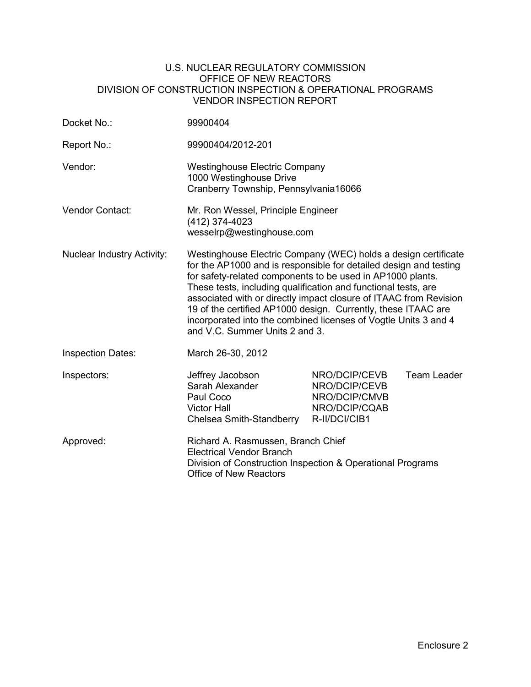#### U.S. NUCLEAR REGULATORY COMMISSION OFFICE OF NEW REACTORS DIVISION OF CONSTRUCTION INSPECTION & OPERATIONAL PROGRAMS VENDOR INSPECTION REPORT

| Docket No.:                       | 99900404                                                                                                                                                                                                                                                                                                                                                                                                                                                                                                       |                                                                                   |             |
|-----------------------------------|----------------------------------------------------------------------------------------------------------------------------------------------------------------------------------------------------------------------------------------------------------------------------------------------------------------------------------------------------------------------------------------------------------------------------------------------------------------------------------------------------------------|-----------------------------------------------------------------------------------|-------------|
| Report No.:                       | 99900404/2012-201                                                                                                                                                                                                                                                                                                                                                                                                                                                                                              |                                                                                   |             |
| Vendor:                           | <b>Westinghouse Electric Company</b><br>1000 Westinghouse Drive<br>Cranberry Township, Pennsylvania16066                                                                                                                                                                                                                                                                                                                                                                                                       |                                                                                   |             |
| <b>Vendor Contact:</b>            | Mr. Ron Wessel, Principle Engineer<br>(412) 374-4023<br>wesselrp@westinghouse.com                                                                                                                                                                                                                                                                                                                                                                                                                              |                                                                                   |             |
| <b>Nuclear Industry Activity:</b> | Westinghouse Electric Company (WEC) holds a design certificate<br>for the AP1000 and is responsible for detailed design and testing<br>for safety-related components to be used in AP1000 plants.<br>These tests, including qualification and functional tests, are<br>associated with or directly impact closure of ITAAC from Revision<br>19 of the certified AP1000 design. Currently, these ITAAC are<br>incorporated into the combined licenses of Vogtle Units 3 and 4<br>and V.C. Summer Units 2 and 3. |                                                                                   |             |
| <b>Inspection Dates:</b>          | March 26-30, 2012                                                                                                                                                                                                                                                                                                                                                                                                                                                                                              |                                                                                   |             |
| Inspectors:                       | Jeffrey Jacobson<br>Sarah Alexander<br>Paul Coco<br><b>Victor Hall</b><br>Chelsea Smith-Standberry                                                                                                                                                                                                                                                                                                                                                                                                             | NRO/DCIP/CEVB<br>NRO/DCIP/CEVB<br>NRO/DCIP/CMVB<br>NRO/DCIP/CQAB<br>R-II/DCI/CIB1 | Team Leader |
| Approved:                         | Richard A. Rasmussen, Branch Chief<br><b>Electrical Vendor Branch</b><br>Division of Construction Inspection & Operational Programs<br><b>Office of New Reactors</b>                                                                                                                                                                                                                                                                                                                                           |                                                                                   |             |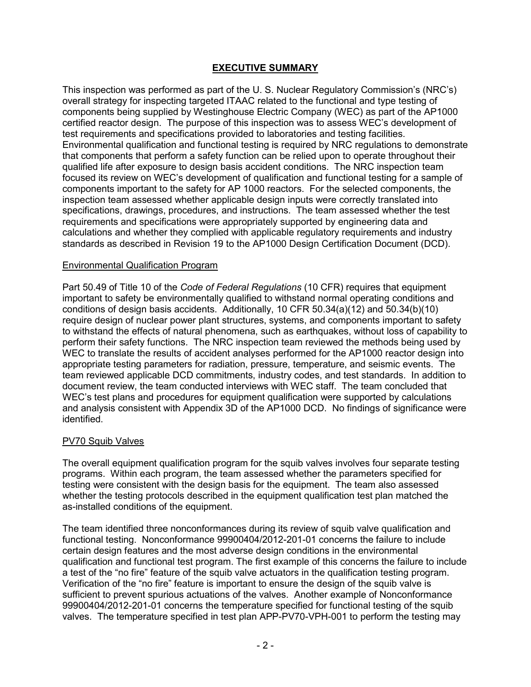# **EXECUTIVE SUMMARY**

This inspection was performed as part of the U. S. Nuclear Regulatory Commission's (NRC's) overall strategy for inspecting targeted ITAAC related to the functional and type testing of components being supplied by Westinghouse Electric Company (WEC) as part of the AP1000 certified reactor design. The purpose of this inspection was to assess WEC's development of test requirements and specifications provided to laboratories and testing facilities. Environmental qualification and functional testing is required by NRC regulations to demonstrate that components that perform a safety function can be relied upon to operate throughout their qualified life after exposure to design basis accident conditions. The NRC inspection team focused its review on WEC's development of qualification and functional testing for a sample of components important to the safety for AP 1000 reactors. For the selected components, the inspection team assessed whether applicable design inputs were correctly translated into specifications, drawings, procedures, and instructions. The team assessed whether the test requirements and specifications were appropriately supported by engineering data and calculations and whether they complied with applicable regulatory requirements and industry standards as described in Revision 19 to the AP1000 Design Certification Document (DCD).

## Environmental Qualification Program

Part 50.49 of Title 10 of the *Code of Federal Regulations* (10 CFR) requires that equipment important to safety be environmentally qualified to withstand normal operating conditions and conditions of design basis accidents. Additionally, 10 CFR 50.34(a)(12) and 50.34(b)(10) require design of nuclear power plant structures, systems, and components important to safety to withstand the effects of natural phenomena, such as earthquakes, without loss of capability to perform their safety functions. The NRC inspection team reviewed the methods being used by WEC to translate the results of accident analyses performed for the AP1000 reactor design into appropriate testing parameters for radiation, pressure, temperature, and seismic events. The team reviewed applicable DCD commitments, industry codes, and test standards. In addition to document review, the team conducted interviews with WEC staff. The team concluded that WEC's test plans and procedures for equipment qualification were supported by calculations and analysis consistent with Appendix 3D of the AP1000 DCD. No findings of significance were identified.

## PV70 Squib Valves

The overall equipment qualification program for the squib valves involves four separate testing programs. Within each program, the team assessed whether the parameters specified for testing were consistent with the design basis for the equipment. The team also assessed whether the testing protocols described in the equipment qualification test plan matched the as-installed conditions of the equipment.

The team identified three nonconformances during its review of squib valve qualification and functional testing. Nonconformance 99900404/2012-201-01 concerns the failure to include certain design features and the most adverse design conditions in the environmental qualification and functional test program. The first example of this concerns the failure to include a test of the "no fire" feature of the squib valve actuators in the qualification testing program. Verification of the "no fire" feature is important to ensure the design of the squib valve is sufficient to prevent spurious actuations of the valves. Another example of Nonconformance 99900404/2012-201-01 concerns the temperature specified for functional testing of the squib valves. The temperature specified in test plan APP-PV70-VPH-001 to perform the testing may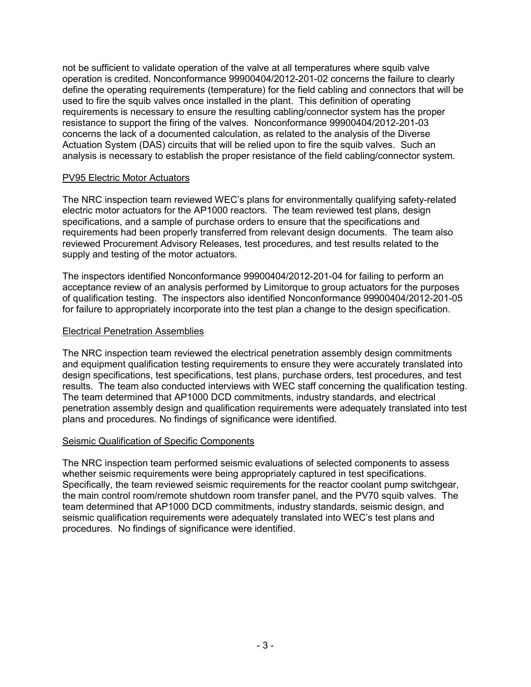not be sufficient to validate operation of the valve at all temperatures where squib valve operation is credited. Nonconformance 99900404/2012-201-02 concerns the failure to clearly define the operating requirements (temperature) for the field cabling and connectors that will be used to fire the squib valves once installed in the plant. This definition of operating requirements is necessary to ensure the resulting cabling/connector system has the proper resistance to support the firing of the valves. Nonconformance 99900404/2012-201-03 concerns the lack of a documented calculation, as related to the analysis of the Diverse Actuation System (DAS) circuits that will be relied upon to fire the squib valves. Such an analysis is necessary to establish the proper resistance of the field cabling/connector system.

#### PV95 Electric Motor Actuators

The NRC inspection team reviewed WEC's plans for environmentally qualifying safety-related electric motor actuators for the AP1000 reactors. The team reviewed test plans, design specifications, and a sample of purchase orders to ensure that the specifications and requirements had been properly transferred from relevant design documents. The team also reviewed Procurement Advisory Releases, test procedures, and test results related to the supply and testing of the motor actuators.

The inspectors identified Nonconformance 99900404/2012-201-04 for failing to perform an acceptance review of an analysis performed by Limitorque to group actuators for the purposes of qualification testing. The inspectors also identified Nonconformance 99900404/2012-201-05 for failure to appropriately incorporate into the test plan a change to the design specification.

## Electrical Penetration Assemblies

The NRC inspection team reviewed the electrical penetration assembly design commitments and equipment qualification testing requirements to ensure they were accurately translated into design specifications, test specifications, test plans, purchase orders, test procedures, and test results. The team also conducted interviews with WEC staff concerning the qualification testing. The team determined that AP1000 DCD commitments, industry standards, and electrical penetration assembly design and qualification requirements were adequately translated into test plans and procedures. No findings of significance were identified.

## Seismic Qualification of Specific Components

The NRC inspection team performed seismic evaluations of selected components to assess whether seismic requirements were being appropriately captured in test specifications. Specifically, the team reviewed seismic requirements for the reactor coolant pump switchgear, the main control room/remote shutdown room transfer panel, and the PV70 squib valves. The team determined that AP1000 DCD commitments, industry standards, seismic design, and seismic qualification requirements were adequately translated into WEC's test plans and procedures. No findings of significance were identified.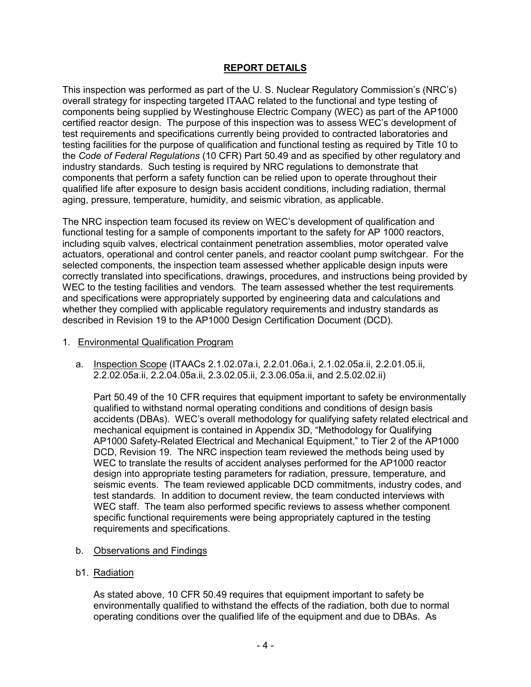# **REPORT DETAILS**

This inspection was performed as part of the U. S. Nuclear Regulatory Commission's (NRC's) overall strategy for inspecting targeted ITAAC related to the functional and type testing of components being supplied by Westinghouse Electric Company (WEC) as part of the AP1000 certified reactor design. The purpose of this inspection was to assess WEC's development of test requirements and specifications currently being provided to contracted laboratories and testing facilities for the purpose of qualification and functional testing as required by Title 10 to the *Code of Federal Regulations* (10 CFR) Part 50.49 and as specified by other regulatory and industry standards. Such testing is required by NRC regulations to demonstrate that components that perform a safety function can be relied upon to operate throughout their qualified life after exposure to design basis accident conditions, including radiation, thermal aging, pressure, temperature, humidity, and seismic vibration, as applicable.

The NRC inspection team focused its review on WEC's development of qualification and functional testing for a sample of components important to the safety for AP 1000 reactors, including squib valves, electrical containment penetration assemblies, motor operated valve actuators, operational and control center panels, and reactor coolant pump switchgear. For the selected components, the inspection team assessed whether applicable design inputs were correctly translated into specifications, drawings, procedures, and instructions being provided by WEC to the testing facilities and vendors. The team assessed whether the test requirements and specifications were appropriately supported by engineering data and calculations and whether they complied with applicable regulatory requirements and industry standards as described in Revision 19 to the AP1000 Design Certification Document (DCD).

#### 1. Environmental Qualification Program

 a. Inspection Scope (ITAACs 2.1.02.07a.i, 2.2.01.06a.i, 2.1.02.05a.ii, 2.2.01.05.ii, 2.2.02.05a.ii, 2.2.04.05a.ii, 2.3.02.05.ii, 2.3.06.05a.ii, and 2.5.02.02.ii)

Part 50.49 of the 10 CFR requires that equipment important to safety be environmentally qualified to withstand normal operating conditions and conditions of design basis accidents (DBAs). WEC's overall methodology for qualifying safety related electrical and mechanical equipment is contained in Appendix 3D, "Methodology for Qualifying AP1000 Safety-Related Electrical and Mechanical Equipment," to Tier 2 of the AP1000 DCD, Revision 19. The NRC inspection team reviewed the methods being used by WEC to translate the results of accident analyses performed for the AP1000 reactor design into appropriate testing parameters for radiation, pressure, temperature, and seismic events. The team reviewed applicable DCD commitments, industry codes, and test standards. In addition to document review, the team conducted interviews with WEC staff. The team also performed specific reviews to assess whether component specific functional requirements were being appropriately captured in the testing requirements and specifications.

## b. Observations and Findings

b1. Radiation

As stated above, 10 CFR 50.49 requires that equipment important to safety be environmentally qualified to withstand the effects of the radiation, both due to normal operating conditions over the qualified life of the equipment and due to DBAs. As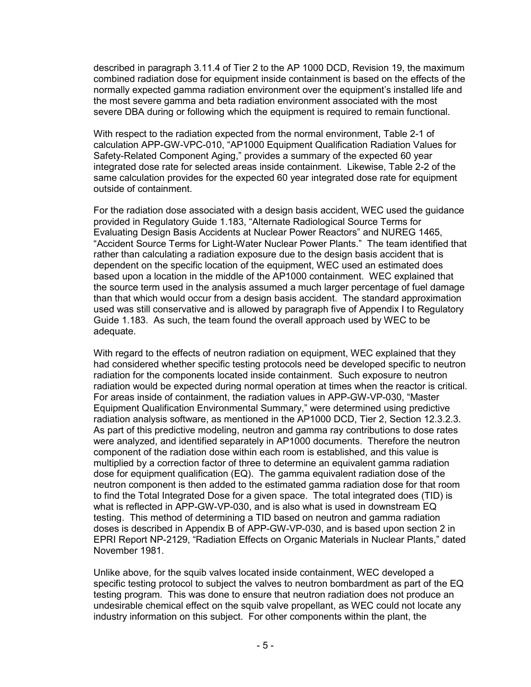described in paragraph 3.11.4 of Tier 2 to the AP 1000 DCD, Revision 19, the maximum combined radiation dose for equipment inside containment is based on the effects of the normally expected gamma radiation environment over the equipment's installed life and the most severe gamma and beta radiation environment associated with the most severe DBA during or following which the equipment is required to remain functional.

With respect to the radiation expected from the normal environment, Table 2-1 of calculation APP-GW-VPC-010, "AP1000 Equipment Qualification Radiation Values for Safety-Related Component Aging," provides a summary of the expected 60 year integrated dose rate for selected areas inside containment. Likewise, Table 2-2 of the same calculation provides for the expected 60 year integrated dose rate for equipment outside of containment.

For the radiation dose associated with a design basis accident, WEC used the guidance provided in Regulatory Guide 1.183, "Alternate Radiological Source Terms for Evaluating Design Basis Accidents at Nuclear Power Reactors" and NUREG 1465, "Accident Source Terms for Light-Water Nuclear Power Plants." The team identified that rather than calculating a radiation exposure due to the design basis accident that is dependent on the specific location of the equipment, WEC used an estimated does based upon a location in the middle of the AP1000 containment. WEC explained that the source term used in the analysis assumed a much larger percentage of fuel damage than that which would occur from a design basis accident. The standard approximation used was still conservative and is allowed by paragraph five of Appendix I to Regulatory Guide 1.183. As such, the team found the overall approach used by WEC to be adequate.

With regard to the effects of neutron radiation on equipment, WEC explained that they had considered whether specific testing protocols need be developed specific to neutron radiation for the components located inside containment. Such exposure to neutron radiation would be expected during normal operation at times when the reactor is critical. For areas inside of containment, the radiation values in APP-GW-VP-030, "Master Equipment Qualification Environmental Summary," were determined using predictive radiation analysis software, as mentioned in the AP1000 DCD, Tier 2, Section 12.3.2.3. As part of this predictive modeling, neutron and gamma ray contributions to dose rates were analyzed, and identified separately in AP1000 documents. Therefore the neutron component of the radiation dose within each room is established, and this value is multiplied by a correction factor of three to determine an equivalent gamma radiation dose for equipment qualification (EQ). The gamma equivalent radiation dose of the neutron component is then added to the estimated gamma radiation dose for that room to find the Total Integrated Dose for a given space. The total integrated does (TID) is what is reflected in APP-GW-VP-030, and is also what is used in downstream EQ testing. This method of determining a TID based on neutron and gamma radiation doses is described in Appendix B of APP-GW-VP-030, and is based upon section 2 in EPRI Report NP-2129, "Radiation Effects on Organic Materials in Nuclear Plants," dated November 1981.

Unlike above, for the squib valves located inside containment, WEC developed a specific testing protocol to subject the valves to neutron bombardment as part of the EQ testing program. This was done to ensure that neutron radiation does not produce an undesirable chemical effect on the squib valve propellant, as WEC could not locate any industry information on this subject. For other components within the plant, the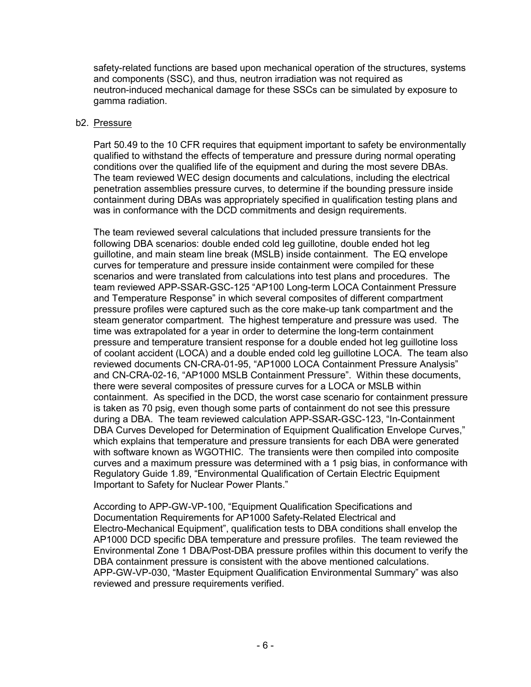safety-related functions are based upon mechanical operation of the structures, systems and components (SSC), and thus, neutron irradiation was not required as neutron-induced mechanical damage for these SSCs can be simulated by exposure to gamma radiation.

#### b2. Pressure

Part 50.49 to the 10 CFR requires that equipment important to safety be environmentally qualified to withstand the effects of temperature and pressure during normal operating conditions over the qualified life of the equipment and during the most severe DBAs. The team reviewed WEC design documents and calculations, including the electrical penetration assemblies pressure curves, to determine if the bounding pressure inside containment during DBAs was appropriately specified in qualification testing plans and was in conformance with the DCD commitments and design requirements.

The team reviewed several calculations that included pressure transients for the following DBA scenarios: double ended cold leg guillotine, double ended hot leg guillotine, and main steam line break (MSLB) inside containment. The EQ envelope curves for temperature and pressure inside containment were compiled for these scenarios and were translated from calculations into test plans and procedures. The team reviewed APP-SSAR-GSC-125 "AP100 Long-term LOCA Containment Pressure and Temperature Response" in which several composites of different compartment pressure profiles were captured such as the core make-up tank compartment and the steam generator compartment. The highest temperature and pressure was used. The time was extrapolated for a year in order to determine the long-term containment pressure and temperature transient response for a double ended hot leg guillotine loss of coolant accident (LOCA) and a double ended cold leg guillotine LOCA. The team also reviewed documents CN-CRA-01-95, "AP1000 LOCA Containment Pressure Analysis" and CN-CRA-02-16, "AP1000 MSLB Containment Pressure". Within these documents, there were several composites of pressure curves for a LOCA or MSLB within containment. As specified in the DCD, the worst case scenario for containment pressure is taken as 70 psig, even though some parts of containment do not see this pressure during a DBA. The team reviewed calculation APP-SSAR-GSC-123, "In-Containment DBA Curves Developed for Determination of Equipment Qualification Envelope Curves," which explains that temperature and pressure transients for each DBA were generated with software known as WGOTHIC. The transients were then compiled into composite curves and a maximum pressure was determined with a 1 psig bias, in conformance with Regulatory Guide 1.89, "Environmental Qualification of Certain Electric Equipment Important to Safety for Nuclear Power Plants."

According to APP-GW-VP-100, "Equipment Qualification Specifications and Documentation Requirements for AP1000 Safety-Related Electrical and Electro-Mechanical Equipment", qualification tests to DBA conditions shall envelop the AP1000 DCD specific DBA temperature and pressure profiles. The team reviewed the Environmental Zone 1 DBA/Post-DBA pressure profiles within this document to verify the DBA containment pressure is consistent with the above mentioned calculations. APP-GW-VP-030, "Master Equipment Qualification Environmental Summary" was also reviewed and pressure requirements verified.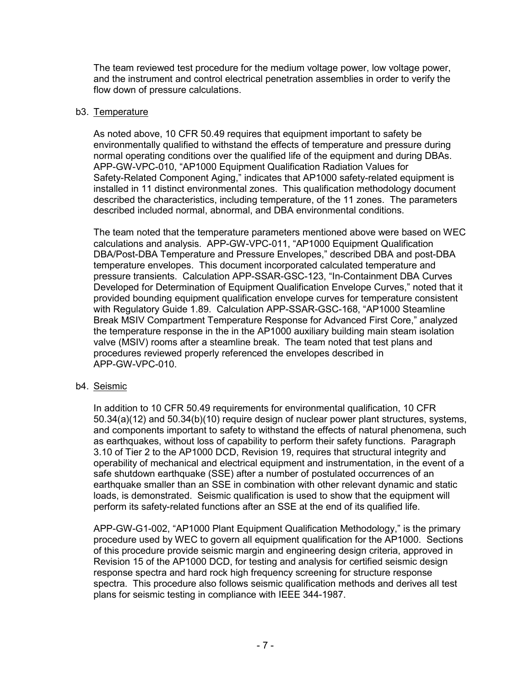The team reviewed test procedure for the medium voltage power, low voltage power, and the instrument and control electrical penetration assemblies in order to verify the flow down of pressure calculations.

## b3. Temperature

As noted above, 10 CFR 50.49 requires that equipment important to safety be environmentally qualified to withstand the effects of temperature and pressure during normal operating conditions over the qualified life of the equipment and during DBAs. APP-GW-VPC-010, "AP1000 Equipment Qualification Radiation Values for Safety-Related Component Aging," indicates that AP1000 safety-related equipment is installed in 11 distinct environmental zones. This qualification methodology document described the characteristics, including temperature, of the 11 zones. The parameters described included normal, abnormal, and DBA environmental conditions.

The team noted that the temperature parameters mentioned above were based on WEC calculations and analysis. APP-GW-VPC-011, "AP1000 Equipment Qualification DBA/Post-DBA Temperature and Pressure Envelopes," described DBA and post-DBA temperature envelopes. This document incorporated calculated temperature and pressure transients. Calculation APP-SSAR-GSC-123, "In-Containment DBA Curves Developed for Determination of Equipment Qualification Envelope Curves," noted that it provided bounding equipment qualification envelope curves for temperature consistent with Regulatory Guide 1.89. Calculation APP-SSAR-GSC-168, "AP1000 Steamline Break MSIV Compartment Temperature Response for Advanced First Core," analyzed the temperature response in the in the AP1000 auxiliary building main steam isolation valve (MSIV) rooms after a steamline break. The team noted that test plans and procedures reviewed properly referenced the envelopes described in APP-GW-VPC-010.

# b4. Seismic

In addition to 10 CFR 50.49 requirements for environmental qualification, 10 CFR 50.34(a)(12) and 50.34(b)(10) require design of nuclear power plant structures, systems, and components important to safety to withstand the effects of natural phenomena, such as earthquakes, without loss of capability to perform their safety functions. Paragraph 3.10 of Tier 2 to the AP1000 DCD, Revision 19, requires that structural integrity and operability of mechanical and electrical equipment and instrumentation, in the event of a safe shutdown earthquake (SSE) after a number of postulated occurrences of an earthquake smaller than an SSE in combination with other relevant dynamic and static loads, is demonstrated. Seismic qualification is used to show that the equipment will perform its safety-related functions after an SSE at the end of its qualified life.

APP-GW-G1-002, "AP1000 Plant Equipment Qualification Methodology," is the primary procedure used by WEC to govern all equipment qualification for the AP1000. Sections of this procedure provide seismic margin and engineering design criteria, approved in Revision 15 of the AP1000 DCD, for testing and analysis for certified seismic design response spectra and hard rock high frequency screening for structure response spectra. This procedure also follows seismic qualification methods and derives all test plans for seismic testing in compliance with IEEE 344-1987.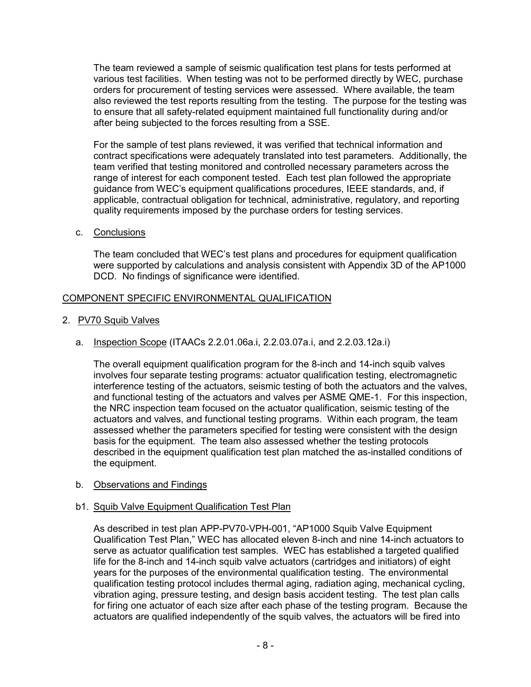The team reviewed a sample of seismic qualification test plans for tests performed at various test facilities. When testing was not to be performed directly by WEC, purchase orders for procurement of testing services were assessed. Where available, the team also reviewed the test reports resulting from the testing. The purpose for the testing was to ensure that all safety-related equipment maintained full functionality during and/or after being subjected to the forces resulting from a SSE.

For the sample of test plans reviewed, it was verified that technical information and contract specifications were adequately translated into test parameters. Additionally, the team verified that testing monitored and controlled necessary parameters across the range of interest for each component tested. Each test plan followed the appropriate guidance from WEC's equipment qualifications procedures, IEEE standards, and, if applicable, contractual obligation for technical, administrative, regulatory, and reporting quality requirements imposed by the purchase orders for testing services.

c. Conclusions

The team concluded that WEC's test plans and procedures for equipment qualification were supported by calculations and analysis consistent with Appendix 3D of the AP1000 DCD. No findings of significance were identified.

# COMPONENT SPECIFIC ENVIRONMENTAL QUALIFICATION

- 2. PV70 Squib Valves
	- a. Inspection Scope (ITAACs 2.2.01.06a.i, 2.2.03.07a.i, and 2.2.03.12a.i)

The overall equipment qualification program for the 8-inch and 14-inch squib valves involves four separate testing programs: actuator qualification testing, electromagnetic interference testing of the actuators, seismic testing of both the actuators and the valves, and functional testing of the actuators and valves per ASME QME-1. For this inspection, the NRC inspection team focused on the actuator qualification, seismic testing of the actuators and valves, and functional testing programs. Within each program, the team assessed whether the parameters specified for testing were consistent with the design basis for the equipment. The team also assessed whether the testing protocols described in the equipment qualification test plan matched the as-installed conditions of the equipment.

b. Observations and Findings

## b1. Squib Valve Equipment Qualification Test Plan

As described in test plan APP-PV70-VPH-001, "AP1000 Squib Valve Equipment Qualification Test Plan," WEC has allocated eleven 8-inch and nine 14-inch actuators to serve as actuator qualification test samples. WEC has established a targeted qualified life for the 8-inch and 14-inch squib valve actuators (cartridges and initiators) of eight years for the purposes of the environmental qualification testing. The environmental qualification testing protocol includes thermal aging, radiation aging, mechanical cycling, vibration aging, pressure testing, and design basis accident testing. The test plan calls for firing one actuator of each size after each phase of the testing program. Because the actuators are qualified independently of the squib valves, the actuators will be fired into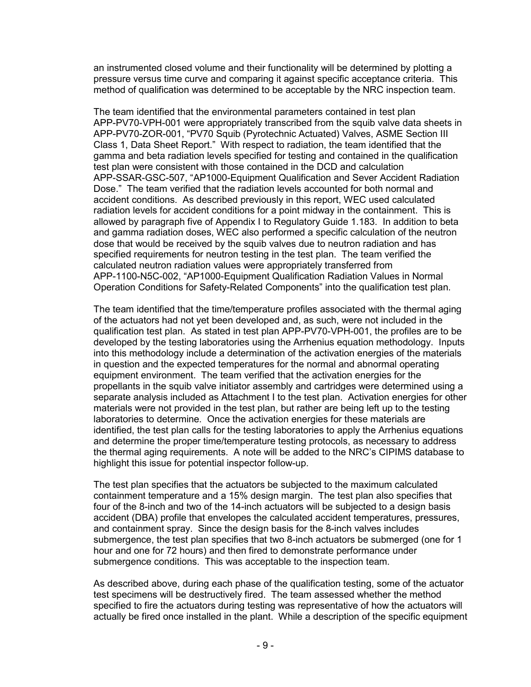an instrumented closed volume and their functionality will be determined by plotting a pressure versus time curve and comparing it against specific acceptance criteria. This method of qualification was determined to be acceptable by the NRC inspection team.

The team identified that the environmental parameters contained in test plan APP-PV70-VPH-001 were appropriately transcribed from the squib valve data sheets in APP-PV70-ZOR-001, "PV70 Squib (Pyrotechnic Actuated) Valves, ASME Section III Class 1, Data Sheet Report." With respect to radiation, the team identified that the gamma and beta radiation levels specified for testing and contained in the qualification test plan were consistent with those contained in the DCD and calculation APP-SSAR-GSC-507, "AP1000-Equipment Qualification and Sever Accident Radiation Dose." The team verified that the radiation levels accounted for both normal and accident conditions. As described previously in this report, WEC used calculated radiation levels for accident conditions for a point midway in the containment. This is allowed by paragraph five of Appendix I to Regulatory Guide 1.183. In addition to beta and gamma radiation doses, WEC also performed a specific calculation of the neutron dose that would be received by the squib valves due to neutron radiation and has specified requirements for neutron testing in the test plan. The team verified the calculated neutron radiation values were appropriately transferred from APP-1100-N5C-002, "AP1000-Equipment Qualification Radiation Values in Normal Operation Conditions for Safety-Related Components" into the qualification test plan.

The team identified that the time/temperature profiles associated with the thermal aging of the actuators had not yet been developed and, as such, were not included in the qualification test plan. As stated in test plan APP-PV70-VPH-001, the profiles are to be developed by the testing laboratories using the Arrhenius equation methodology. Inputs into this methodology include a determination of the activation energies of the materials in question and the expected temperatures for the normal and abnormal operating equipment environment. The team verified that the activation energies for the propellants in the squib valve initiator assembly and cartridges were determined using a separate analysis included as Attachment I to the test plan. Activation energies for other materials were not provided in the test plan, but rather are being left up to the testing laboratories to determine. Once the activation energies for these materials are identified, the test plan calls for the testing laboratories to apply the Arrhenius equations and determine the proper time/temperature testing protocols, as necessary to address the thermal aging requirements. A note will be added to the NRC's CIPIMS database to highlight this issue for potential inspector follow-up.

The test plan specifies that the actuators be subjected to the maximum calculated containment temperature and a 15% design margin. The test plan also specifies that four of the 8-inch and two of the 14-inch actuators will be subjected to a design basis accident (DBA) profile that envelopes the calculated accident temperatures, pressures, and containment spray. Since the design basis for the 8-inch valves includes submergence, the test plan specifies that two 8-inch actuators be submerged (one for 1 hour and one for 72 hours) and then fired to demonstrate performance under submergence conditions. This was acceptable to the inspection team.

As described above, during each phase of the qualification testing, some of the actuator test specimens will be destructively fired. The team assessed whether the method specified to fire the actuators during testing was representative of how the actuators will actually be fired once installed in the plant. While a description of the specific equipment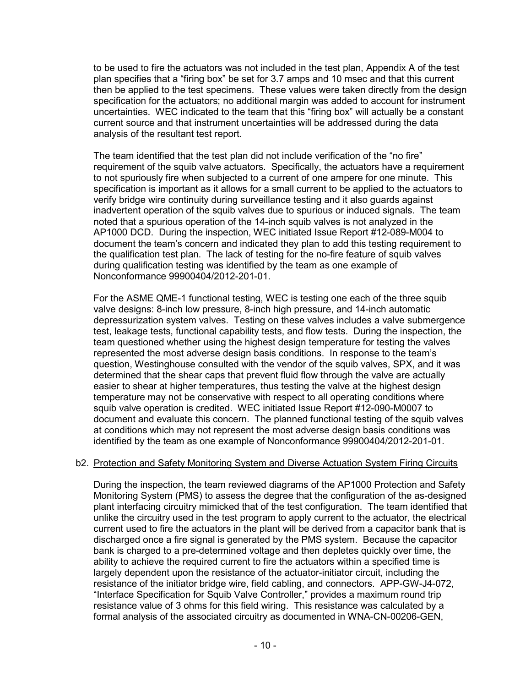to be used to fire the actuators was not included in the test plan, Appendix A of the test plan specifies that a "firing box" be set for 3.7 amps and 10 msec and that this current then be applied to the test specimens. These values were taken directly from the design specification for the actuators; no additional margin was added to account for instrument uncertainties. WEC indicated to the team that this "firing box" will actually be a constant current source and that instrument uncertainties will be addressed during the data analysis of the resultant test report.

The team identified that the test plan did not include verification of the "no fire" requirement of the squib valve actuators. Specifically, the actuators have a requirement to not spuriously fire when subjected to a current of one ampere for one minute. This specification is important as it allows for a small current to be applied to the actuators to verify bridge wire continuity during surveillance testing and it also guards against inadvertent operation of the squib valves due to spurious or induced signals. The team noted that a spurious operation of the 14-inch squib valves is not analyzed in the AP1000 DCD. During the inspection, WEC initiated Issue Report #12-089-M004 to document the team's concern and indicated they plan to add this testing requirement to the qualification test plan. The lack of testing for the no-fire feature of squib valves during qualification testing was identified by the team as one example of Nonconformance 99900404/2012-201-01.

For the ASME QME-1 functional testing, WEC is testing one each of the three squib valve designs: 8-inch low pressure, 8-inch high pressure, and 14-inch automatic depressurization system valves. Testing on these valves includes a valve submergence test, leakage tests, functional capability tests, and flow tests. During the inspection, the team questioned whether using the highest design temperature for testing the valves represented the most adverse design basis conditions. In response to the team's question, Westinghouse consulted with the vendor of the squib valves, SPX, and it was determined that the shear caps that prevent fluid flow through the valve are actually easier to shear at higher temperatures, thus testing the valve at the highest design temperature may not be conservative with respect to all operating conditions where squib valve operation is credited. WEC initiated Issue Report #12-090-M0007 to document and evaluate this concern. The planned functional testing of the squib valves at conditions which may not represent the most adverse design basis conditions was identified by the team as one example of Nonconformance 99900404/2012-201-01.

## b2. Protection and Safety Monitoring System and Diverse Actuation System Firing Circuits

During the inspection, the team reviewed diagrams of the AP1000 Protection and Safety Monitoring System (PMS) to assess the degree that the configuration of the as-designed plant interfacing circuitry mimicked that of the test configuration. The team identified that unlike the circuitry used in the test program to apply current to the actuator, the electrical current used to fire the actuators in the plant will be derived from a capacitor bank that is discharged once a fire signal is generated by the PMS system. Because the capacitor bank is charged to a pre-determined voltage and then depletes quickly over time, the ability to achieve the required current to fire the actuators within a specified time is largely dependent upon the resistance of the actuator-initiator circuit, including the resistance of the initiator bridge wire, field cabling, and connectors. APP-GW-J4-072, "Interface Specification for Squib Valve Controller," provides a maximum round trip resistance value of 3 ohms for this field wiring. This resistance was calculated by a formal analysis of the associated circuitry as documented in WNA-CN-00206-GEN,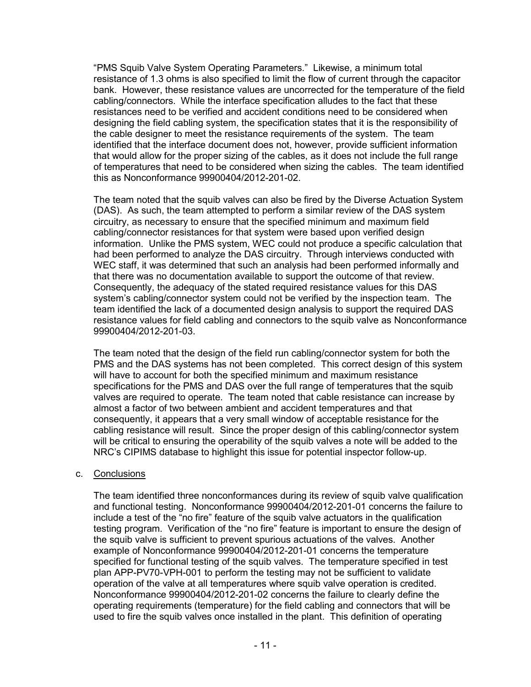"PMS Squib Valve System Operating Parameters." Likewise, a minimum total resistance of 1.3 ohms is also specified to limit the flow of current through the capacitor bank. However, these resistance values are uncorrected for the temperature of the field cabling/connectors. While the interface specification alludes to the fact that these resistances need to be verified and accident conditions need to be considered when designing the field cabling system, the specification states that it is the responsibility of the cable designer to meet the resistance requirements of the system. The team identified that the interface document does not, however, provide sufficient information that would allow for the proper sizing of the cables, as it does not include the full range of temperatures that need to be considered when sizing the cables. The team identified this as Nonconformance 99900404/2012-201-02.

The team noted that the squib valves can also be fired by the Diverse Actuation System (DAS). As such, the team attempted to perform a similar review of the DAS system circuitry, as necessary to ensure that the specified minimum and maximum field cabling/connector resistances for that system were based upon verified design information. Unlike the PMS system, WEC could not produce a specific calculation that had been performed to analyze the DAS circuitry. Through interviews conducted with WEC staff, it was determined that such an analysis had been performed informally and that there was no documentation available to support the outcome of that review. Consequently, the adequacy of the stated required resistance values for this DAS system's cabling/connector system could not be verified by the inspection team. The team identified the lack of a documented design analysis to support the required DAS resistance values for field cabling and connectors to the squib valve as Nonconformance 99900404/2012-201-03.

The team noted that the design of the field run cabling/connector system for both the PMS and the DAS systems has not been completed. This correct design of this system will have to account for both the specified minimum and maximum resistance specifications for the PMS and DAS over the full range of temperatures that the squib valves are required to operate. The team noted that cable resistance can increase by almost a factor of two between ambient and accident temperatures and that consequently, it appears that a very small window of acceptable resistance for the cabling resistance will result. Since the proper design of this cabling/connector system will be critical to ensuring the operability of the squib valves a note will be added to the NRC's CIPIMS database to highlight this issue for potential inspector follow-up.

## c. Conclusions

The team identified three nonconformances during its review of squib valve qualification and functional testing. Nonconformance 99900404/2012-201-01 concerns the failure to include a test of the "no fire" feature of the squib valve actuators in the qualification testing program. Verification of the "no fire" feature is important to ensure the design of the squib valve is sufficient to prevent spurious actuations of the valves. Another example of Nonconformance 99900404/2012-201-01 concerns the temperature specified for functional testing of the squib valves. The temperature specified in test plan APP-PV70-VPH-001 to perform the testing may not be sufficient to validate operation of the valve at all temperatures where squib valve operation is credited. Nonconformance 99900404/2012-201-02 concerns the failure to clearly define the operating requirements (temperature) for the field cabling and connectors that will be used to fire the squib valves once installed in the plant. This definition of operating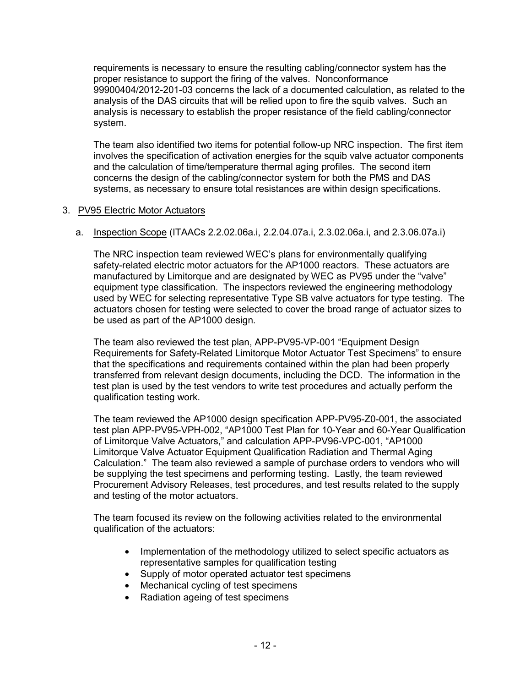requirements is necessary to ensure the resulting cabling/connector system has the proper resistance to support the firing of the valves. Nonconformance 99900404/2012-201-03 concerns the lack of a documented calculation, as related to the analysis of the DAS circuits that will be relied upon to fire the squib valves. Such an analysis is necessary to establish the proper resistance of the field cabling/connector system.

The team also identified two items for potential follow-up NRC inspection. The first item involves the specification of activation energies for the squib valve actuator components and the calculation of time/temperature thermal aging profiles. The second item concerns the design of the cabling/connector system for both the PMS and DAS systems, as necessary to ensure total resistances are within design specifications.

# 3. PV95 Electric Motor Actuators

a. Inspection Scope (ITAACs 2.2.02.06a.i, 2.2.04.07a.i, 2.3.02.06a.i, and 2.3.06.07a.i)

The NRC inspection team reviewed WEC's plans for environmentally qualifying safety-related electric motor actuators for the AP1000 reactors. These actuators are manufactured by Limitorque and are designated by WEC as PV95 under the "valve" equipment type classification. The inspectors reviewed the engineering methodology used by WEC for selecting representative Type SB valve actuators for type testing. The actuators chosen for testing were selected to cover the broad range of actuator sizes to be used as part of the AP1000 design.

The team also reviewed the test plan, APP-PV95-VP-001 "Equipment Design Requirements for Safety-Related Limitorque Motor Actuator Test Specimens" to ensure that the specifications and requirements contained within the plan had been properly transferred from relevant design documents, including the DCD. The information in the test plan is used by the test vendors to write test procedures and actually perform the qualification testing work.

The team reviewed the AP1000 design specification APP-PV95-Z0-001, the associated test plan APP-PV95-VPH-002, "AP1000 Test Plan for 10-Year and 60-Year Qualification of Limitorque Valve Actuators," and calculation APP-PV96-VPC-001, "AP1000 Limitorque Valve Actuator Equipment Qualification Radiation and Thermal Aging Calculation." The team also reviewed a sample of purchase orders to vendors who will be supplying the test specimens and performing testing. Lastly, the team reviewed Procurement Advisory Releases, test procedures, and test results related to the supply and testing of the motor actuators.

The team focused its review on the following activities related to the environmental qualification of the actuators:

- Implementation of the methodology utilized to select specific actuators as representative samples for qualification testing
- Supply of motor operated actuator test specimens
- Mechanical cycling of test specimens
- Radiation ageing of test specimens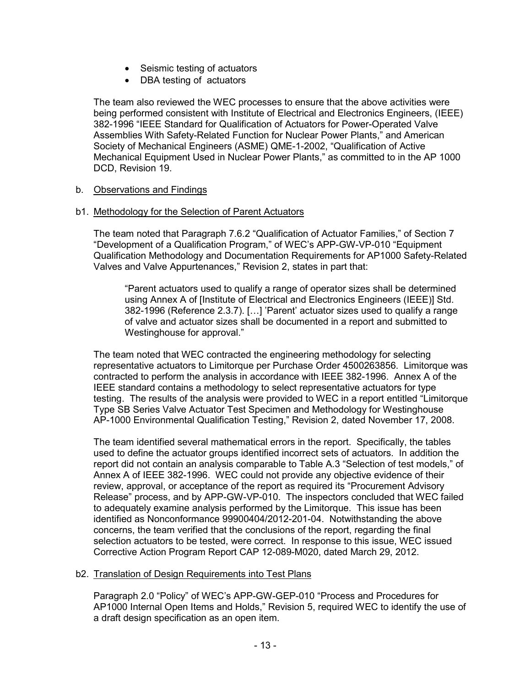- Seismic testing of actuators
- DBA testing of actuators

The team also reviewed the WEC processes to ensure that the above activities were being performed consistent with Institute of Electrical and Electronics Engineers, (IEEE) 382-1996 "IEEE Standard for Qualification of Actuators for Power-Operated Valve Assemblies With Safety-Related Function for Nuclear Power Plants," and American Society of Mechanical Engineers (ASME) QME-1-2002, "Qualification of Active Mechanical Equipment Used in Nuclear Power Plants," as committed to in the AP 1000 DCD, Revision 19.

# b. Observations and Findings

# b1. Methodology for the Selection of Parent Actuators

The team noted that Paragraph 7.6.2 "Qualification of Actuator Families," of Section 7 "Development of a Qualification Program," of WEC's APP-GW-VP-010 "Equipment Qualification Methodology and Documentation Requirements for AP1000 Safety-Related Valves and Valve Appurtenances," Revision 2, states in part that:

"Parent actuators used to qualify a range of operator sizes shall be determined using Annex A of [Institute of Electrical and Electronics Engineers (IEEE)] Std. 382-1996 (Reference 2.3.7). […] 'Parent' actuator sizes used to qualify a range of valve and actuator sizes shall be documented in a report and submitted to Westinghouse for approval."

The team noted that WEC contracted the engineering methodology for selecting representative actuators to Limitorque per Purchase Order 4500263856. Limitorque was contracted to perform the analysis in accordance with IEEE 382-1996. Annex A of the IEEE standard contains a methodology to select representative actuators for type testing. The results of the analysis were provided to WEC in a report entitled "Limitorque Type SB Series Valve Actuator Test Specimen and Methodology for Westinghouse AP-1000 Environmental Qualification Testing," Revision 2, dated November 17, 2008.

The team identified several mathematical errors in the report. Specifically, the tables used to define the actuator groups identified incorrect sets of actuators. In addition the report did not contain an analysis comparable to Table A.3 "Selection of test models," of Annex A of IEEE 382-1996. WEC could not provide any objective evidence of their review, approval, or acceptance of the report as required its "Procurement Advisory Release" process, and by APP-GW-VP-010. The inspectors concluded that WEC failed to adequately examine analysis performed by the Limitorque. This issue has been identified as Nonconformance 99900404/2012-201-04. Notwithstanding the above concerns, the team verified that the conclusions of the report, regarding the final selection actuators to be tested, were correct. In response to this issue, WEC issued Corrective Action Program Report CAP 12-089-M020, dated March 29, 2012.

## b2. Translation of Design Requirements into Test Plans

Paragraph 2.0 "Policy" of WEC's APP-GW-GEP-010 "Process and Procedures for AP1000 Internal Open Items and Holds," Revision 5, required WEC to identify the use of a draft design specification as an open item.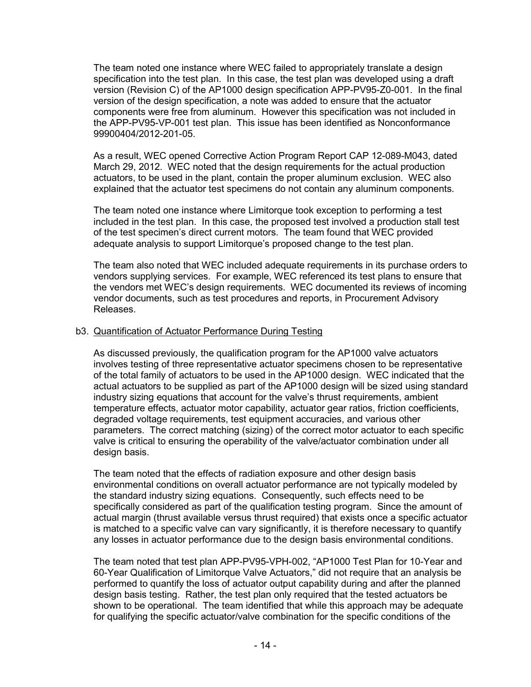The team noted one instance where WEC failed to appropriately translate a design specification into the test plan. In this case, the test plan was developed using a draft version (Revision C) of the AP1000 design specification APP-PV95-Z0-001. In the final version of the design specification, a note was added to ensure that the actuator components were free from aluminum. However this specification was not included in the APP-PV95-VP-001 test plan. This issue has been identified as Nonconformance 99900404/2012-201-05.

As a result, WEC opened Corrective Action Program Report CAP 12-089-M043, dated March 29, 2012. WEC noted that the design requirements for the actual production actuators, to be used in the plant, contain the proper aluminum exclusion. WEC also explained that the actuator test specimens do not contain any aluminum components.

The team noted one instance where Limitorque took exception to performing a test included in the test plan. In this case, the proposed test involved a production stall test of the test specimen's direct current motors. The team found that WEC provided adequate analysis to support Limitorque's proposed change to the test plan.

The team also noted that WEC included adequate requirements in its purchase orders to vendors supplying services. For example, WEC referenced its test plans to ensure that the vendors met WEC's design requirements. WEC documented its reviews of incoming vendor documents, such as test procedures and reports, in Procurement Advisory Releases.

# b3. Quantification of Actuator Performance During Testing

As discussed previously, the qualification program for the AP1000 valve actuators involves testing of three representative actuator specimens chosen to be representative of the total family of actuators to be used in the AP1000 design. WEC indicated that the actual actuators to be supplied as part of the AP1000 design will be sized using standard industry sizing equations that account for the valve's thrust requirements, ambient temperature effects, actuator motor capability, actuator gear ratios, friction coefficients, degraded voltage requirements, test equipment accuracies, and various other parameters. The correct matching (sizing) of the correct motor actuator to each specific valve is critical to ensuring the operability of the valve/actuator combination under all design basis.

The team noted that the effects of radiation exposure and other design basis environmental conditions on overall actuator performance are not typically modeled by the standard industry sizing equations. Consequently, such effects need to be specifically considered as part of the qualification testing program. Since the amount of actual margin (thrust available versus thrust required) that exists once a specific actuator is matched to a specific valve can vary significantly, it is therefore necessary to quantify any losses in actuator performance due to the design basis environmental conditions.

The team noted that test plan APP-PV95-VPH-002, "AP1000 Test Plan for 10-Year and 60-Year Qualification of Limitorque Valve Actuators," did not require that an analysis be performed to quantify the loss of actuator output capability during and after the planned design basis testing. Rather, the test plan only required that the tested actuators be shown to be operational. The team identified that while this approach may be adequate for qualifying the specific actuator/valve combination for the specific conditions of the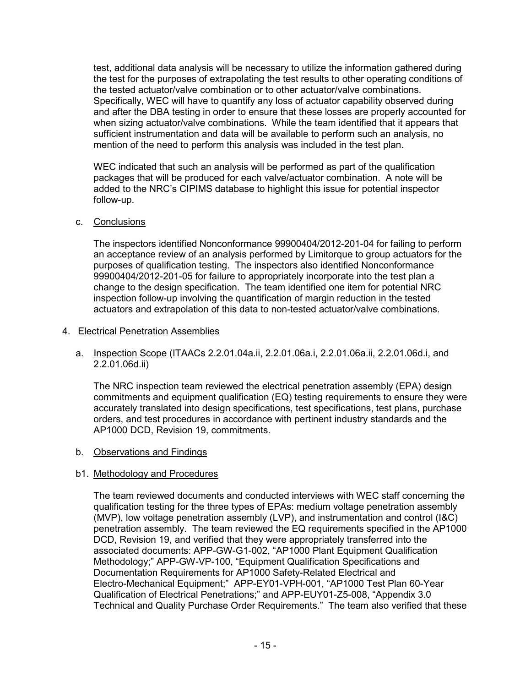test, additional data analysis will be necessary to utilize the information gathered during the test for the purposes of extrapolating the test results to other operating conditions of the tested actuator/valve combination or to other actuator/valve combinations. Specifically, WEC will have to quantify any loss of actuator capability observed during and after the DBA testing in order to ensure that these losses are properly accounted for when sizing actuator/valve combinations. While the team identified that it appears that sufficient instrumentation and data will be available to perform such an analysis, no mention of the need to perform this analysis was included in the test plan.

WEC indicated that such an analysis will be performed as part of the qualification packages that will be produced for each valve/actuator combination. A note will be added to the NRC's CIPIMS database to highlight this issue for potential inspector follow-up.

# c. Conclusions

The inspectors identified Nonconformance 99900404/2012-201-04 for failing to perform an acceptance review of an analysis performed by Limitorque to group actuators for the purposes of qualification testing. The inspectors also identified Nonconformance 99900404/2012-201-05 for failure to appropriately incorporate into the test plan a change to the design specification. The team identified one item for potential NRC inspection follow-up involving the quantification of margin reduction in the tested actuators and extrapolation of this data to non-tested actuator/valve combinations.

# 4. Electrical Penetration Assemblies

 a. Inspection Scope (ITAACs 2.2.01.04a.ii, 2.2.01.06a.i, 2.2.01.06a.ii, 2.2.01.06d.i, and 2.2.01.06d.ii)

The NRC inspection team reviewed the electrical penetration assembly (EPA) design commitments and equipment qualification (EQ) testing requirements to ensure they were accurately translated into design specifications, test specifications, test plans, purchase orders, and test procedures in accordance with pertinent industry standards and the AP1000 DCD, Revision 19, commitments.

b. Observations and Findings

# b1. Methodology and Procedures

The team reviewed documents and conducted interviews with WEC staff concerning the qualification testing for the three types of EPAs: medium voltage penetration assembly (MVP), low voltage penetration assembly (LVP), and instrumentation and control (I&C) penetration assembly. The team reviewed the EQ requirements specified in the AP1000 DCD, Revision 19, and verified that they were appropriately transferred into the associated documents: APP-GW-G1-002, "AP1000 Plant Equipment Qualification Methodology;" APP-GW-VP-100, "Equipment Qualification Specifications and Documentation Requirements for AP1000 Safety-Related Electrical and Electro-Mechanical Equipment;" APP-EY01-VPH-001, "AP1000 Test Plan 60-Year Qualification of Electrical Penetrations;" and APP-EUY01-Z5-008, "Appendix 3.0 Technical and Quality Purchase Order Requirements." The team also verified that these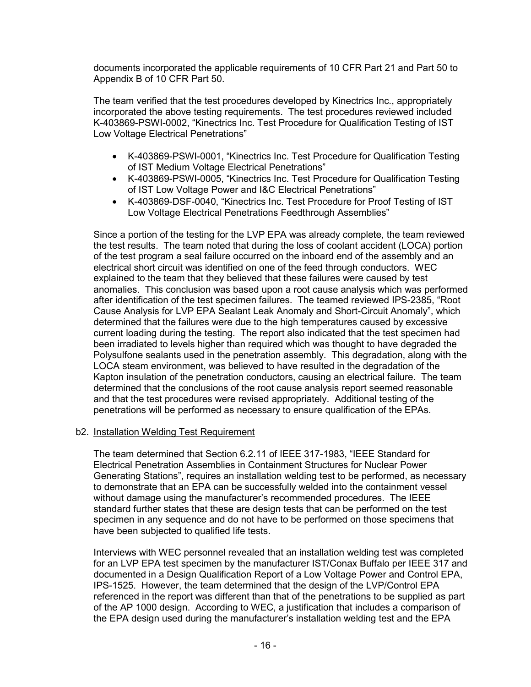documents incorporated the applicable requirements of 10 CFR Part 21 and Part 50 to Appendix B of 10 CFR Part 50.

The team verified that the test procedures developed by Kinectrics Inc., appropriately incorporated the above testing requirements. The test procedures reviewed included K-403869-PSWI-0002, "Kinectrics Inc. Test Procedure for Qualification Testing of IST Low Voltage Electrical Penetrations"

- K-403869-PSWI-0001, "Kinectrics Inc. Test Procedure for Qualification Testing of IST Medium Voltage Electrical Penetrations"
- K-403869-PSWI-0005, "Kinectrics Inc. Test Procedure for Qualification Testing of IST Low Voltage Power and I&C Electrical Penetrations"
- K-403869-DSF-0040, "Kinectrics Inc. Test Procedure for Proof Testing of IST Low Voltage Electrical Penetrations Feedthrough Assemblies"

Since a portion of the testing for the LVP EPA was already complete, the team reviewed the test results. The team noted that during the loss of coolant accident (LOCA) portion of the test program a seal failure occurred on the inboard end of the assembly and an electrical short circuit was identified on one of the feed through conductors. WEC explained to the team that they believed that these failures were caused by test anomalies. This conclusion was based upon a root cause analysis which was performed after identification of the test specimen failures. The teamed reviewed IPS-2385, "Root Cause Analysis for LVP EPA Sealant Leak Anomaly and Short-Circuit Anomaly", which determined that the failures were due to the high temperatures caused by excessive current loading during the testing. The report also indicated that the test specimen had been irradiated to levels higher than required which was thought to have degraded the Polysulfone sealants used in the penetration assembly. This degradation, along with the LOCA steam environment, was believed to have resulted in the degradation of the Kapton insulation of the penetration conductors, causing an electrical failure. The team determined that the conclusions of the root cause analysis report seemed reasonable and that the test procedures were revised appropriately. Additional testing of the penetrations will be performed as necessary to ensure qualification of the EPAs.

## b2. Installation Welding Test Requirement

The team determined that Section 6.2.11 of IEEE 317-1983, "IEEE Standard for Electrical Penetration Assemblies in Containment Structures for Nuclear Power Generating Stations", requires an installation welding test to be performed, as necessary to demonstrate that an EPA can be successfully welded into the containment vessel without damage using the manufacturer's recommended procedures. The IEEE standard further states that these are design tests that can be performed on the test specimen in any sequence and do not have to be performed on those specimens that have been subjected to qualified life tests.

Interviews with WEC personnel revealed that an installation welding test was completed for an LVP EPA test specimen by the manufacturer IST/Conax Buffalo per IEEE 317 and documented in a Design Qualification Report of a Low Voltage Power and Control EPA, IPS-1525. However, the team determined that the design of the LVP/Control EPA referenced in the report was different than that of the penetrations to be supplied as part of the AP 1000 design. According to WEC, a justification that includes a comparison of the EPA design used during the manufacturer's installation welding test and the EPA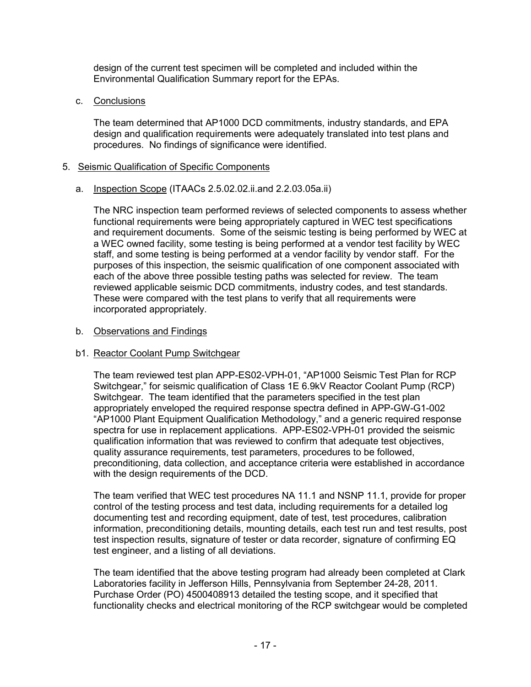design of the current test specimen will be completed and included within the Environmental Qualification Summary report for the EPAs.

c. Conclusions

The team determined that AP1000 DCD commitments, industry standards, and EPA design and qualification requirements were adequately translated into test plans and procedures. No findings of significance were identified.

# 5. Seismic Qualification of Specific Components

a. Inspection Scope (ITAACs 2.5.02.02.ii.and 2.2.03.05a.ii)

The NRC inspection team performed reviews of selected components to assess whether functional requirements were being appropriately captured in WEC test specifications and requirement documents. Some of the seismic testing is being performed by WEC at a WEC owned facility, some testing is being performed at a vendor test facility by WEC staff, and some testing is being performed at a vendor facility by vendor staff. For the purposes of this inspection, the seismic qualification of one component associated with each of the above three possible testing paths was selected for review. The team reviewed applicable seismic DCD commitments, industry codes, and test standards. These were compared with the test plans to verify that all requirements were incorporated appropriately.

## b. Observations and Findings

## b1. Reactor Coolant Pump Switchgear

The team reviewed test plan APP-ES02-VPH-01, "AP1000 Seismic Test Plan for RCP Switchgear," for seismic qualification of Class 1E 6.9kV Reactor Coolant Pump (RCP) Switchgear. The team identified that the parameters specified in the test plan appropriately enveloped the required response spectra defined in APP-GW-G1-002 "AP1000 Plant Equipment Qualification Methodology," and a generic required response spectra for use in replacement applications. APP-ES02-VPH-01 provided the seismic qualification information that was reviewed to confirm that adequate test objectives, quality assurance requirements, test parameters, procedures to be followed, preconditioning, data collection, and acceptance criteria were established in accordance with the design requirements of the DCD.

The team verified that WEC test procedures NA 11.1 and NSNP 11.1, provide for proper control of the testing process and test data, including requirements for a detailed log documenting test and recording equipment, date of test, test procedures, calibration information, preconditioning details, mounting details, each test run and test results, post test inspection results, signature of tester or data recorder, signature of confirming EQ test engineer, and a listing of all deviations.

The team identified that the above testing program had already been completed at Clark Laboratories facility in Jefferson Hills, Pennsylvania from September 24-28, 2011. Purchase Order (PO) 4500408913 detailed the testing scope, and it specified that functionality checks and electrical monitoring of the RCP switchgear would be completed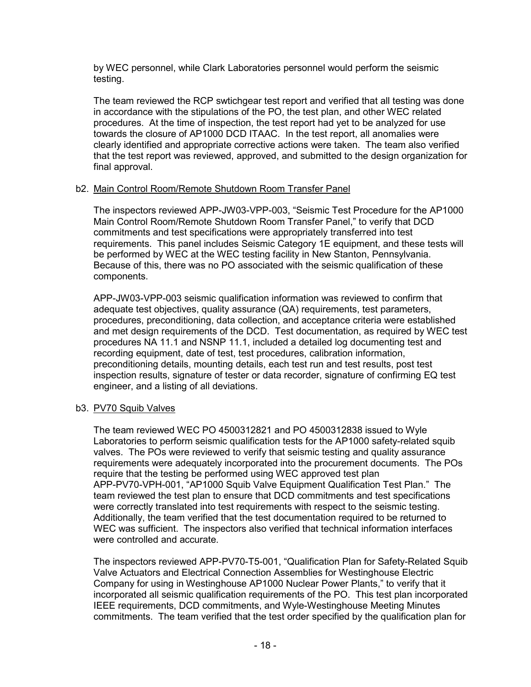by WEC personnel, while Clark Laboratories personnel would perform the seismic testing.

The team reviewed the RCP swtichgear test report and verified that all testing was done in accordance with the stipulations of the PO, the test plan, and other WEC related procedures. At the time of inspection, the test report had yet to be analyzed for use towards the closure of AP1000 DCD ITAAC. In the test report, all anomalies were clearly identified and appropriate corrective actions were taken. The team also verified that the test report was reviewed, approved, and submitted to the design organization for final approval.

## b2. Main Control Room/Remote Shutdown Room Transfer Panel

The inspectors reviewed APP-JW03-VPP-003, "Seismic Test Procedure for the AP1000 Main Control Room/Remote Shutdown Room Transfer Panel," to verify that DCD commitments and test specifications were appropriately transferred into test requirements. This panel includes Seismic Category 1E equipment, and these tests will be performed by WEC at the WEC testing facility in New Stanton, Pennsylvania. Because of this, there was no PO associated with the seismic qualification of these components.

APP-JW03-VPP-003 seismic qualification information was reviewed to confirm that adequate test objectives, quality assurance (QA) requirements, test parameters, procedures, preconditioning, data collection, and acceptance criteria were established and met design requirements of the DCD. Test documentation, as required by WEC test procedures NA 11.1 and NSNP 11.1, included a detailed log documenting test and recording equipment, date of test, test procedures, calibration information, preconditioning details, mounting details, each test run and test results, post test inspection results, signature of tester or data recorder, signature of confirming EQ test engineer, and a listing of all deviations.

## b3. PV70 Squib Valves

The team reviewed WEC PO 4500312821 and PO 4500312838 issued to Wyle Laboratories to perform seismic qualification tests for the AP1000 safety-related squib valves. The POs were reviewed to verify that seismic testing and quality assurance requirements were adequately incorporated into the procurement documents. The POs require that the testing be performed using WEC approved test plan APP-PV70-VPH-001, "AP1000 Squib Valve Equipment Qualification Test Plan." The team reviewed the test plan to ensure that DCD commitments and test specifications were correctly translated into test requirements with respect to the seismic testing. Additionally, the team verified that the test documentation required to be returned to WEC was sufficient. The inspectors also verified that technical information interfaces were controlled and accurate.

The inspectors reviewed APP-PV70-T5-001, "Qualification Plan for Safety-Related Squib Valve Actuators and Electrical Connection Assemblies for Westinghouse Electric Company for using in Westinghouse AP1000 Nuclear Power Plants," to verify that it incorporated all seismic qualification requirements of the PO. This test plan incorporated IEEE requirements, DCD commitments, and Wyle-Westinghouse Meeting Minutes commitments. The team verified that the test order specified by the qualification plan for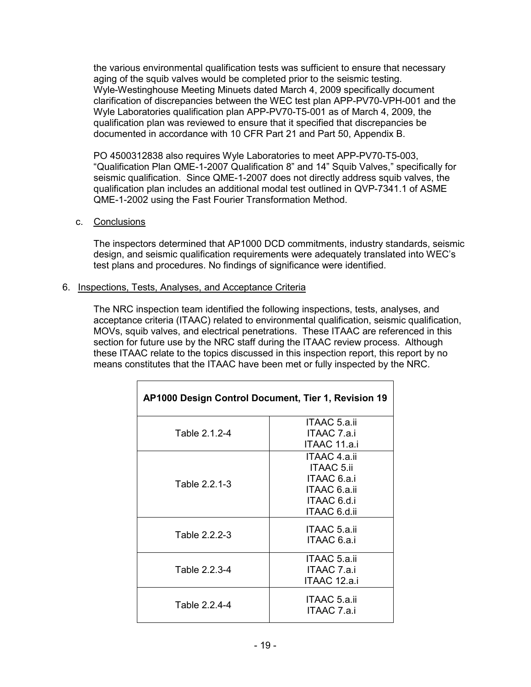the various environmental qualification tests was sufficient to ensure that necessary aging of the squib valves would be completed prior to the seismic testing. Wyle-Westinghouse Meeting Minuets dated March 4, 2009 specifically document clarification of discrepancies between the WEC test plan APP-PV70-VPH-001 and the Wyle Laboratories qualification plan APP-PV70-T5-001 as of March 4, 2009, the qualification plan was reviewed to ensure that it specified that discrepancies be documented in accordance with 10 CFR Part 21 and Part 50, Appendix B.

PO 4500312838 also requires Wyle Laboratories to meet APP-PV70-T5-003, "Qualification Plan QME-1-2007 Qualification 8" and 14" Squib Valves," specifically for seismic qualification. Since QME-1-2007 does not directly address squib valves, the qualification plan includes an additional modal test outlined in QVP-7341.1 of ASME QME-1-2002 using the Fast Fourier Transformation Method.

## c. Conclusions

The inspectors determined that AP1000 DCD commitments, industry standards, seismic design, and seismic qualification requirements were adequately translated into WEC's test plans and procedures. No findings of significance were identified.

#### 6. Inspections, Tests, Analyses, and Acceptance Criteria

The NRC inspection team identified the following inspections, tests, analyses, and acceptance criteria (ITAAC) related to environmental qualification, seismic qualification, MOVs, squib valves, and electrical penetrations. These ITAAC are referenced in this section for future use by the NRC staff during the ITAAC review process. Although these ITAAC relate to the topics discussed in this inspection report, this report by no means constitutes that the ITAAC have been met or fully inspected by the NRC.

| AP1000 Design Control Document, Tier 1, Revision 19 |                                                                                                 |  |  |
|-----------------------------------------------------|-------------------------------------------------------------------------------------------------|--|--|
| Table 2.1.2-4                                       | ITAAC 5.a.ii<br>ITAAC 7.a.i<br>ITAAC 11.a.i                                                     |  |  |
| Table 2.2.1-3                                       | ITAAC 4.a.ii<br><b>ITAAC 5.ii</b><br>ITAAC 6.a.i<br>ITAAC 6.a.ii<br>ITAAC 6.d.i<br>ITAAC 6.d.ii |  |  |
| Table 2.2.2-3                                       | ITAAC 5.a.ii<br>ITAAC 6.a.i                                                                     |  |  |
| Table 2.2.3-4                                       | ITAAC 5.a.ii<br>ITAAC 7.a.i<br>ITAAC 12.a.i                                                     |  |  |
| Table 2.2.4-4                                       | ITAAC 5.a.ii<br>ITAAC 7.a.i                                                                     |  |  |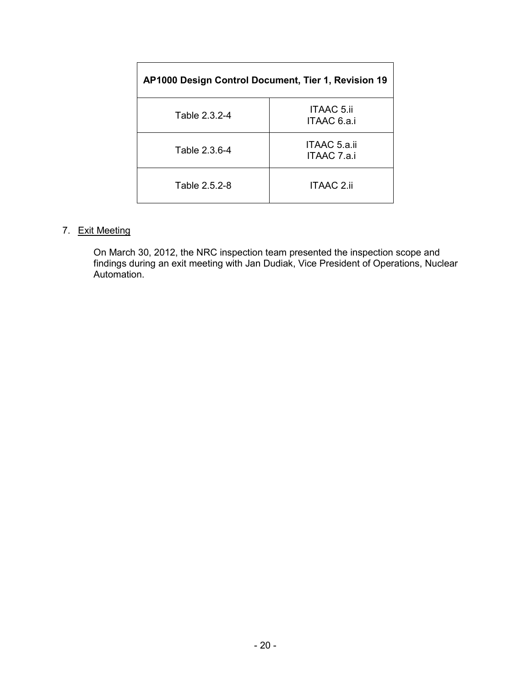| AP1000 Design Control Document, Tier 1, Revision 19 |                                  |  |  |
|-----------------------------------------------------|----------------------------------|--|--|
| Table 2.3.2-4                                       | <b>ITAAC 5.ii</b><br>ITAAC 6.a.i |  |  |
| Table 2.3.6-4                                       | ITAAC 5.a.ii<br>ITAAC 7.a.i      |  |  |
| Table 2.5.2-8                                       | ITAAC 2.ii                       |  |  |

# 7. Exit Meeting

On March 30, 2012, the NRC inspection team presented the inspection scope and findings during an exit meeting with Jan Dudiak, Vice President of Operations, Nuclear Automation.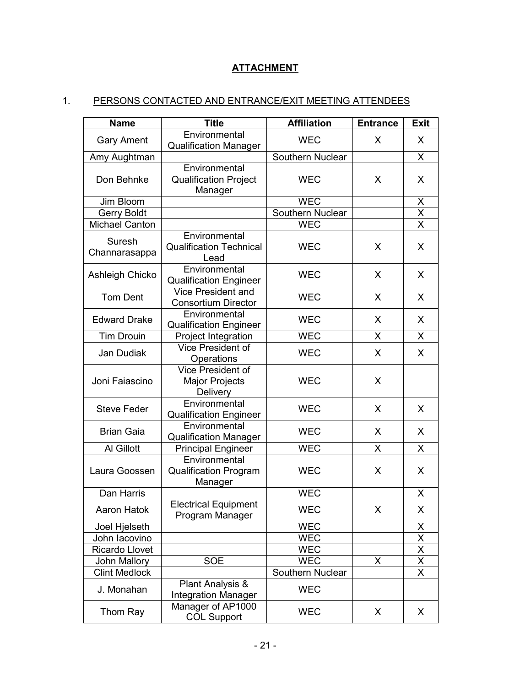# **ATTACHMENT**

# 1. PERSONS CONTACTED AND ENTRANCE/EXIT MEETING ATTENDEES

| <b>Name</b>             | <b>Title</b>                                                  | <b>Affiliation</b>      | <b>Entrance</b> | <b>Exit</b>             |
|-------------------------|---------------------------------------------------------------|-------------------------|-----------------|-------------------------|
| <b>Gary Ament</b>       | Environmental<br><b>Qualification Manager</b>                 | <b>WEC</b>              | X               | X                       |
| Amy Aughtman            |                                                               | Southern Nuclear        |                 | X                       |
| Don Behnke              | Environmental<br><b>Qualification Project</b><br>Manager      | <b>WEC</b>              | X               | X                       |
| Jim Bloom               |                                                               | <b>WEC</b>              |                 | $\frac{x}{x}$           |
| <b>Gerry Boldt</b>      |                                                               | <b>Southern Nuclear</b> |                 |                         |
| <b>Michael Canton</b>   |                                                               | <b>WEC</b>              |                 | $\overline{\mathsf{x}}$ |
| Suresh<br>Channarasappa | Environmental<br><b>Qualification Technical</b><br>Lead       | <b>WEC</b>              | X               | X                       |
| Ashleigh Chicko         | Environmental<br><b>Qualification Engineer</b>                | <b>WEC</b>              | X               | X                       |
| <b>Tom Dent</b>         | <b>Vice President and</b><br><b>Consortium Director</b>       | <b>WEC</b>              | X               | X                       |
| <b>Edward Drake</b>     | Environmental<br><b>Qualification Engineer</b>                | <b>WEC</b>              | X               | X                       |
| <b>Tim Drouin</b>       | Project Integration                                           | <b>WEC</b>              | X               | X                       |
| Jan Dudiak              | Vice President of<br>Operations                               | <b>WEC</b>              | X               | X                       |
| Joni Faiascino          | Vice President of<br><b>Major Projects</b><br><b>Delivery</b> | <b>WEC</b>              | X               |                         |
| <b>Steve Feder</b>      | Environmental<br><b>Qualification Engineer</b>                | <b>WEC</b>              | X               | X                       |
| <b>Brian Gaia</b>       | Environmental<br><b>Qualification Manager</b>                 | <b>WEC</b>              | X               | X                       |
| Al Gillott              | <b>Principal Engineer</b>                                     | <b>WEC</b>              | X               | X                       |
| Laura Goossen           | Environmental<br><b>Qualification Program</b><br>Manager      | <b>WEC</b>              | X               | X                       |
| Dan Harris              |                                                               | <b>WEC</b>              |                 | X                       |
| Aaron Hatok             | <b>Electrical Equipment</b><br>Program Manager                | <b>WEC</b>              | X               | X                       |
| Joel Hjelseth           |                                                               | <b>WEC</b>              |                 | X                       |
| John lacovino           |                                                               | <b>WEC</b>              |                 | $\underline{X}$         |
| Ricardo Llovet          |                                                               | <b>WEC</b>              |                 | $\overline{\mathsf{x}}$ |
| John Mallory            | <b>SOE</b>                                                    | <b>WEC</b>              | X               | X                       |
| <b>Clint Medlock</b>    |                                                               | Southern Nuclear        |                 | $\overline{\mathsf{x}}$ |
| J. Monahan              | Plant Analysis &<br><b>Integration Manager</b>                | <b>WEC</b>              |                 |                         |
| Thom Ray                | Manager of AP1000<br><b>COL Support</b>                       | <b>WEC</b>              | X               | X                       |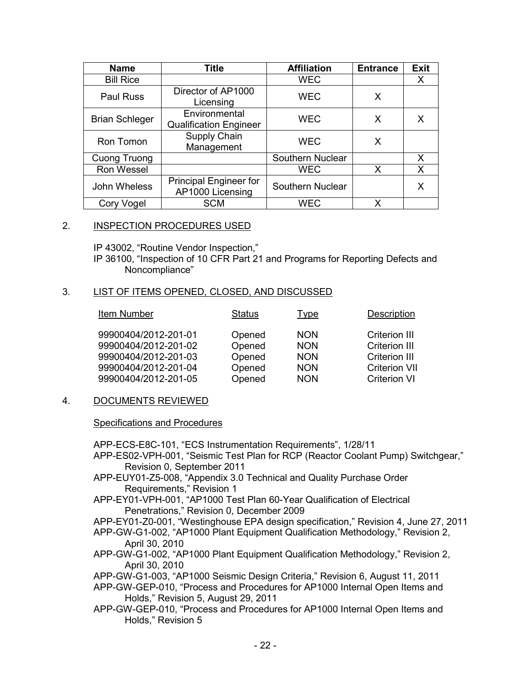| <b>Name</b>           | <b>Title</b>                                      | <b>Affiliation</b> | <b>Entrance</b> | <b>Exit</b> |
|-----------------------|---------------------------------------------------|--------------------|-----------------|-------------|
| <b>Bill Rice</b>      |                                                   | <b>WEC</b>         |                 | X           |
| Paul Russ             | Director of AP1000<br>Licensing                   | <b>WEC</b>         | X               |             |
| <b>Brian Schleger</b> | Environmental<br><b>Qualification Engineer</b>    | <b>WEC</b>         | X               | X           |
| Ron Tomon             | Supply Chain<br>Management                        | <b>WEC</b>         | X               |             |
| Cuong Truong          |                                                   | Southern Nuclear   |                 | X           |
| Ron Wessel            |                                                   | <b>WEC</b>         | X               | X           |
| John Wheless          | <b>Principal Engineer for</b><br>AP1000 Licensing | Southern Nuclear   |                 | X           |
| Cory Vogel            | <b>SCM</b>                                        | WEC                | x               |             |

#### 2. INSPECTION PROCEDURES USED

IP 43002, "Routine Vendor Inspection,"

IP 36100, "Inspection of 10 CFR Part 21 and Programs for Reporting Defects and Noncompliance"

#### 3. LIST OF ITEMS OPENED, CLOSED, AND DISCUSSED

| Item Number          | <b>Status</b> | <u>Type</u> | <b>Description</b>   |
|----------------------|---------------|-------------|----------------------|
| 99900404/2012-201-01 | Opened        | <b>NON</b>  | <b>Criterion III</b> |
| 99900404/2012-201-02 | Opened        | <b>NON</b>  | <b>Criterion III</b> |
| 99900404/2012-201-03 | Opened        | <b>NON</b>  | <b>Criterion III</b> |
| 99900404/2012-201-04 | Opened        | <b>NON</b>  | <b>Criterion VII</b> |
| 99900404/2012-201-05 | Opened        | <b>NON</b>  | <b>Criterion VI</b>  |

#### 4. DOCUMENTS REVIEWED

Specifications and Procedures

APP-ECS-E8C-101, "ECS Instrumentation Requirements", 1/28/11

APP-ES02-VPH-001, "Seismic Test Plan for RCP (Reactor Coolant Pump) Switchgear," Revision 0, September 2011

- APP-EUY01-Z5-008, "Appendix 3.0 Technical and Quality Purchase Order Requirements," Revision 1
- APP-EY01-VPH-001, "AP1000 Test Plan 60-Year Qualification of Electrical Penetrations," Revision 0, December 2009
- APP-EY01-Z0-001, "Westinghouse EPA design specification," Revision 4, June 27, 2011
- APP-GW-G1-002, "AP1000 Plant Equipment Qualification Methodology," Revision 2, April 30, 2010

APP-GW-G1-002, "AP1000 Plant Equipment Qualification Methodology," Revision 2, April 30, 2010

APP-GW-G1-003, "AP1000 Seismic Design Criteria," Revision 6, August 11, 2011

APP-GW-GEP-010, "Process and Procedures for AP1000 Internal Open Items and Holds," Revision 5, August 29, 2011

APP-GW-GEP-010, "Process and Procedures for AP1000 Internal Open Items and Holds," Revision 5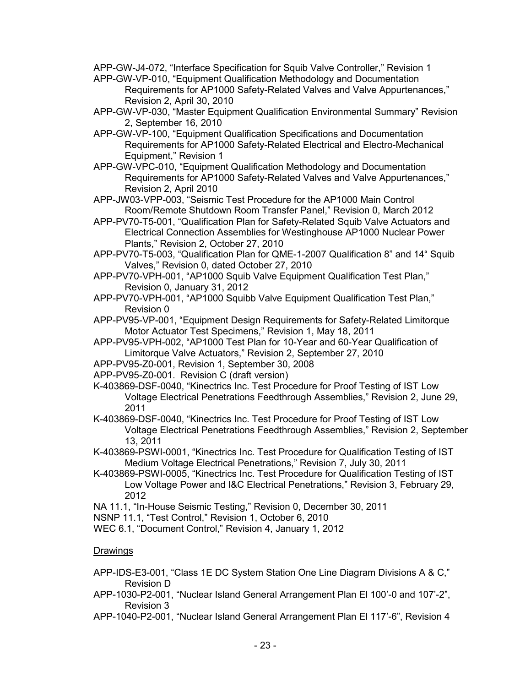APP-GW-J4-072, "Interface Specification for Squib Valve Controller," Revision 1

APP-GW-VP-010, "Equipment Qualification Methodology and Documentation Requirements for AP1000 Safety-Related Valves and Valve Appurtenances," Revision 2, April 30, 2010

- APP-GW-VP-030, "Master Equipment Qualification Environmental Summary" Revision 2, September 16, 2010
- APP-GW-VP-100, "Equipment Qualification Specifications and Documentation Requirements for AP1000 Safety-Related Electrical and Electro-Mechanical Equipment," Revision 1
- APP-GW-VPC-010, "Equipment Qualification Methodology and Documentation Requirements for AP1000 Safety-Related Valves and Valve Appurtenances," Revision 2, April 2010
- APP-JW03-VPP-003, "Seismic Test Procedure for the AP1000 Main Control Room/Remote Shutdown Room Transfer Panel," Revision 0, March 2012
- APP-PV70-T5-001, "Qualification Plan for Safety-Related Squib Valve Actuators and Electrical Connection Assemblies for Westinghouse AP1000 Nuclear Power Plants," Revision 2, October 27, 2010
- APP-PV70-T5-003, "Qualification Plan for QME-1-2007 Qualification 8" and 14" Squib Valves," Revision 0, dated October 27, 2010
- APP-PV70-VPH-001, "AP1000 Squib Valve Equipment Qualification Test Plan," Revision 0, January 31, 2012
- APP-PV70-VPH-001, "AP1000 Squibb Valve Equipment Qualification Test Plan," Revision 0
- APP-PV95-VP-001, "Equipment Design Requirements for Safety-Related Limitorque Motor Actuator Test Specimens," Revision 1, May 18, 2011
- APP-PV95-VPH-002, "AP1000 Test Plan for 10-Year and 60-Year Qualification of Limitorque Valve Actuators," Revision 2, September 27, 2010
- APP-PV95-Z0-001, Revision 1, September 30, 2008
- APP-PV95-Z0-001. Revision C (draft version)
- K-403869-DSF-0040, "Kinectrics Inc. Test Procedure for Proof Testing of IST Low Voltage Electrical Penetrations Feedthrough Assemblies," Revision 2, June 29, 2011
- K-403869-DSF-0040, "Kinectrics Inc. Test Procedure for Proof Testing of IST Low Voltage Electrical Penetrations Feedthrough Assemblies," Revision 2, September 13, 2011
- K-403869-PSWI-0001, "Kinectrics Inc. Test Procedure for Qualification Testing of IST Medium Voltage Electrical Penetrations," Revision 7, July 30, 2011
- K-403869-PSWI-0005, "Kinectrics Inc. Test Procedure for Qualification Testing of IST Low Voltage Power and I&C Electrical Penetrations," Revision 3, February 29, 2012

NA 11.1, "In-House Seismic Testing," Revision 0, December 30, 2011

- NSNP 11.1, "Test Control," Revision 1, October 6, 2010
- WEC 6.1, "Document Control," Revision 4, January 1, 2012

## Drawings

- APP-IDS-E3-001, "Class 1E DC System Station One Line Diagram Divisions A & C," Revision D
- APP-1030-P2-001, "Nuclear Island General Arrangement Plan El 100'-0 and 107'-2", Revision 3
- APP-1040-P2-001, "Nuclear Island General Arrangement Plan El 117'-6", Revision 4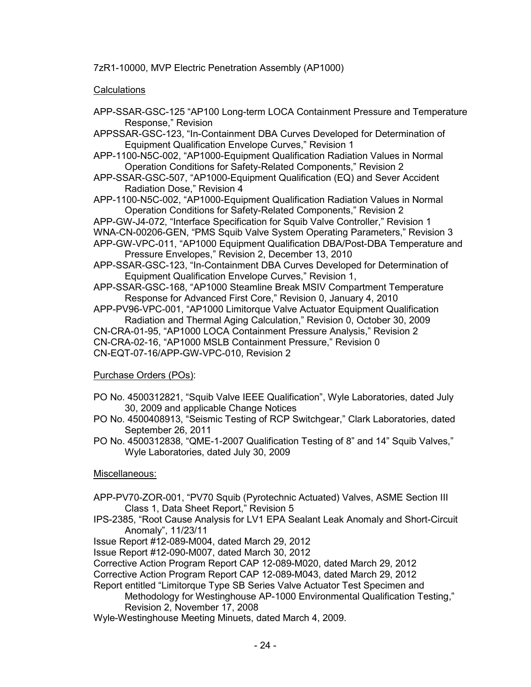7zR1-10000, MVP Electric Penetration Assembly (AP1000)

## **Calculations**

APP-SSAR-GSC-125 "AP100 Long-term LOCA Containment Pressure and Temperature Response," Revision

APPSSAR-GSC-123, "In-Containment DBA Curves Developed for Determination of Equipment Qualification Envelope Curves," Revision 1

- APP-1100-N5C-002, "AP1000-Equipment Qualification Radiation Values in Normal Operation Conditions for Safety-Related Components," Revision 2
- APP-SSAR-GSC-507, "AP1000-Equipment Qualification (EQ) and Sever Accident Radiation Dose," Revision 4
- APP-1100-N5C-002, "AP1000-Equipment Qualification Radiation Values in Normal Operation Conditions for Safety-Related Components," Revision 2

APP-GW-J4-072, "Interface Specification for Squib Valve Controller," Revision 1 WNA-CN-00206-GEN, "PMS Squib Valve System Operating Parameters," Revision 3 APP-GW-VPC-011, "AP1000 Equipment Qualification DBA/Post-DBA Temperature and

- Pressure Envelopes," Revision 2, December 13, 2010
- APP-SSAR-GSC-123, "In-Containment DBA Curves Developed for Determination of Equipment Qualification Envelope Curves," Revision 1,

APP-SSAR-GSC-168, "AP1000 Steamline Break MSIV Compartment Temperature Response for Advanced First Core," Revision 0, January 4, 2010

APP-PV96-VPC-001, "AP1000 Limitorque Valve Actuator Equipment Qualification Radiation and Thermal Aging Calculation," Revision 0, October 30, 2009 CN-CRA-01-95, "AP1000 LOCA Containment Pressure Analysis," Revision 2 CN-CRA-02-16, "AP1000 MSLB Containment Pressure," Revision 0 CN-EQT-07-16/APP-GW-VPC-010, Revision 2

## Purchase Orders (POs):

- PO No. 4500312821, "Squib Valve IEEE Qualification", Wyle Laboratories, dated July 30, 2009 and applicable Change Notices
- PO No. 4500408913, "Seismic Testing of RCP Switchgear," Clark Laboratories, dated September 26, 2011
- PO No. 4500312838, "QME-1-2007 Qualification Testing of 8" and 14" Squib Valves," Wyle Laboratories, dated July 30, 2009

## Miscellaneous:

- APP-PV70-ZOR-001, "PV70 Squib (Pyrotechnic Actuated) Valves, ASME Section III Class 1, Data Sheet Report," Revision 5
- IPS-2385, "Root Cause Analysis for LV1 EPA Sealant Leak Anomaly and Short-Circuit Anomaly", 11/23/11

Issue Report #12-089-M004, dated March 29, 2012

Issue Report #12-090-M007, dated March 30, 2012

Corrective Action Program Report CAP 12-089-M020, dated March 29, 2012

Corrective Action Program Report CAP 12-089-M043, dated March 29, 2012

Report entitled "Limitorque Type SB Series Valve Actuator Test Specimen and

Methodology for Westinghouse AP-1000 Environmental Qualification Testing," Revision 2, November 17, 2008

Wyle-Westinghouse Meeting Minuets, dated March 4, 2009.